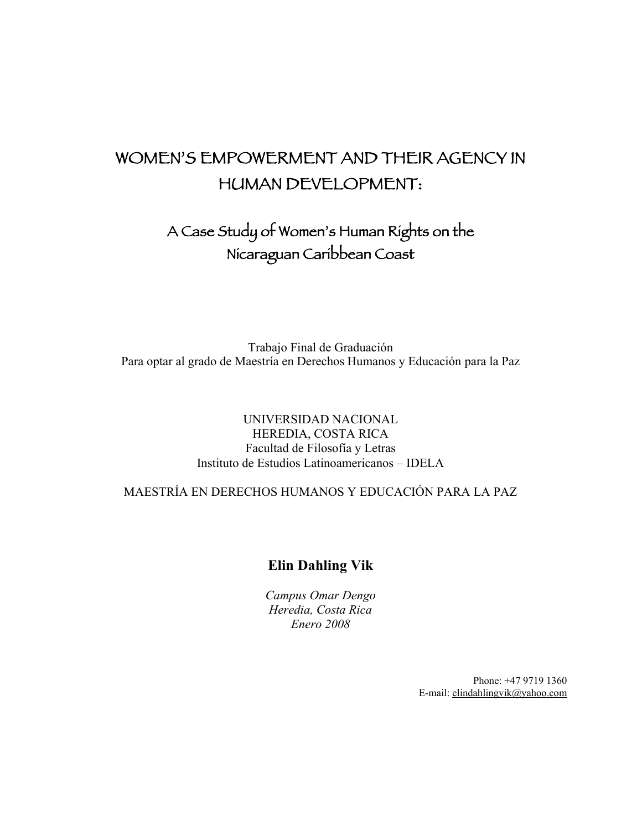# WOMEN'S EMPOWERMENT AND THEIR AGENCY IN HUMAN DEVELOPMENT:

A Case Study of Women's Human Rights on the Nicaraguan Caribbean Coast

Trabajo Final de Graduación Para optar al grado de Maestría en Derechos Humanos y Educación para la Paz

## UNIVERSIDAD NACIONAL HEREDIA, COSTA RICA Facultad de Filosofía y Letras Instituto de Estudios Latinoamericanos – IDELA

MAESTRÍA EN DERECHOS HUMANOS Y EDUCACIÓN PARA LA PAZ

## Elin Dahling Vik

*Campus Omar Dengo Heredia, Costa Rica Enero 2008*

> Phone: +47 9719 1360 E-mail: elindahlingvik@yahoo.com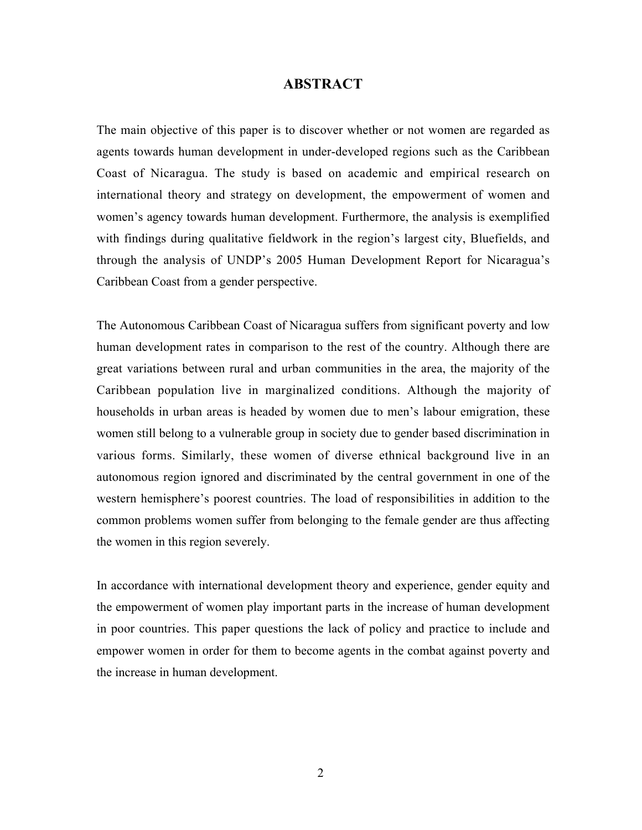### ABSTRACT

The main objective of this paper is to discover whether or not women are regarded as agents towards human development in under-developed regions such as the Caribbean Coast of Nicaragua. The study is based on academic and empirical research on international theory and strategy on development, the empowerment of women and women's agency towards human development. Furthermore, the analysis is exemplified with findings during qualitative fieldwork in the region's largest city, Bluefields, and through the analysis of UNDP's 2005 Human Development Report for Nicaragua's Caribbean Coast from a gender perspective.

The Autonomous Caribbean Coast of Nicaragua suffers from significant poverty and low human development rates in comparison to the rest of the country. Although there are great variations between rural and urban communities in the area, the majority of the Caribbean population live in marginalized conditions. Although the majority of households in urban areas is headed by women due to men's labour emigration, these women still belong to a vulnerable group in society due to gender based discrimination in various forms. Similarly, these women of diverse ethnical background live in an autonomous region ignored and discriminated by the central government in one of the western hemisphere's poorest countries. The load of responsibilities in addition to the common problems women suffer from belonging to the female gender are thus affecting the women in this region severely.

In accordance with international development theory and experience, gender equity and the empowerment of women play important parts in the increase of human development in poor countries. This paper questions the lack of policy and practice to include and empower women in order for them to become agents in the combat against poverty and the increase in human development.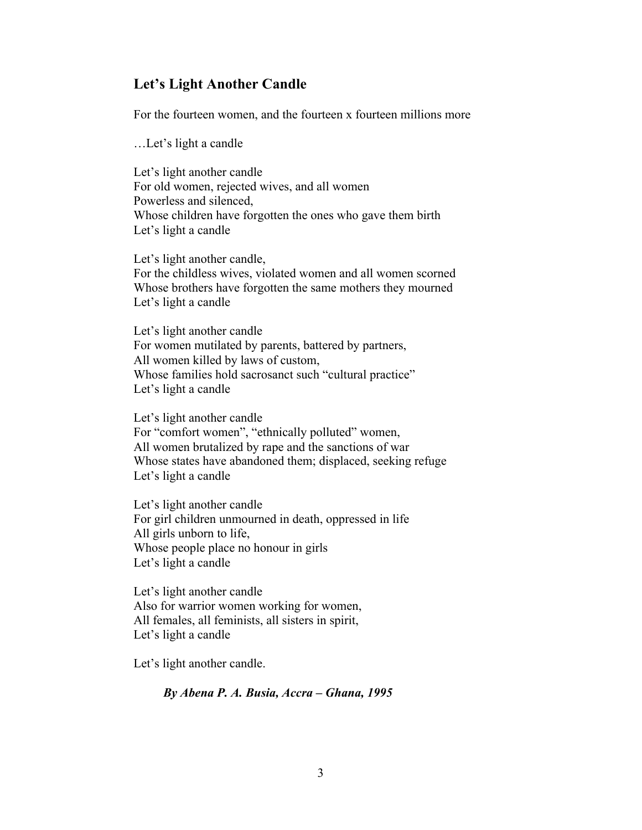## Let's Light Another Candle

For the fourteen women, and the fourteen x fourteen millions more

…Let's light a candle

Let's light another candle For old women, rejected wives, and all women Powerless and silenced, Whose children have forgotten the ones who gave them birth Let's light a candle

Let's light another candle, For the childless wives, violated women and all women scorned Whose brothers have forgotten the same mothers they mourned Let's light a candle

Let's light another candle For women mutilated by parents, battered by partners, All women killed by laws of custom, Whose families hold sacrosanct such "cultural practice" Let's light a candle

Let's light another candle For "comfort women", "ethnically polluted" women, All women brutalized by rape and the sanctions of war Whose states have abandoned them; displaced, seeking refuge Let's light a candle

Let's light another candle For girl children unmourned in death, oppressed in life All girls unborn to life, Whose people place no honour in girls Let's light a candle

Let's light another candle Also for warrior women working for women, All females, all feminists, all sisters in spirit, Let's light a candle

Let's light another candle.

*By Abena P. A. Busia, Accra – Ghana, 1995*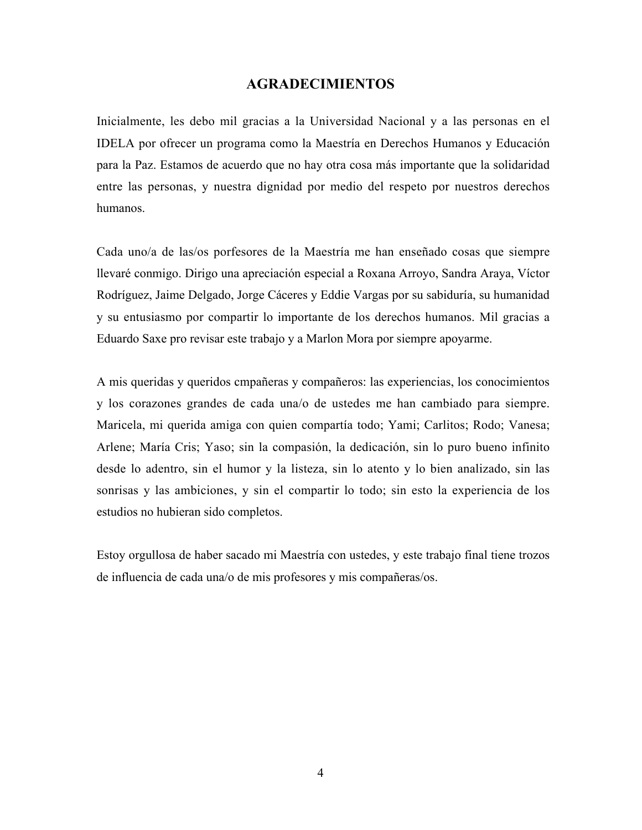#### AGRADECIMIENTOS

Inicialmente, les debo mil gracias a la Universidad Nacional y a las personas en el IDELA por ofrecer un programa como la Maestría en Derechos Humanos y Educación para la Paz. Estamos de acuerdo que no hay otra cosa más importante que la solidaridad entre las personas, y nuestra dignidad por medio del respeto por nuestros derechos humanos.

Cada uno/a de las/os porfesores de la Maestría me han enseñado cosas que siempre llevaré conmigo. Dirigo una apreciación especial a Roxana Arroyo, Sandra Araya, Víctor Rodríguez, Jaime Delgado, Jorge Cáceres y Eddie Vargas por su sabiduría, su humanidad y su entusiasmo por compartir lo importante de los derechos humanos. Mil gracias a Eduardo Saxe pro revisar este trabajo y a Marlon Mora por siempre apoyarme.

A mis queridas y queridos cmpañeras y compañeros: las experiencias, los conocimientos y los corazones grandes de cada una/o de ustedes me han cambiado para siempre. Maricela, mi querida amiga con quien compartía todo; Yami; Carlitos; Rodo; Vanesa; Arlene; María Cris; Yaso; sin la compasión, la dedicación, sin lo puro bueno infinito desde lo adentro, sin el humor y la listeza, sin lo atento y lo bien analizado, sin las sonrisas y las ambiciones, y sin el compartir lo todo; sin esto la experiencia de los estudios no hubieran sido completos.

Estoy orgullosa de haber sacado mi Maestría con ustedes, y este trabajo final tiene trozos de influencia de cada una/o de mis profesores y mis compañeras/os.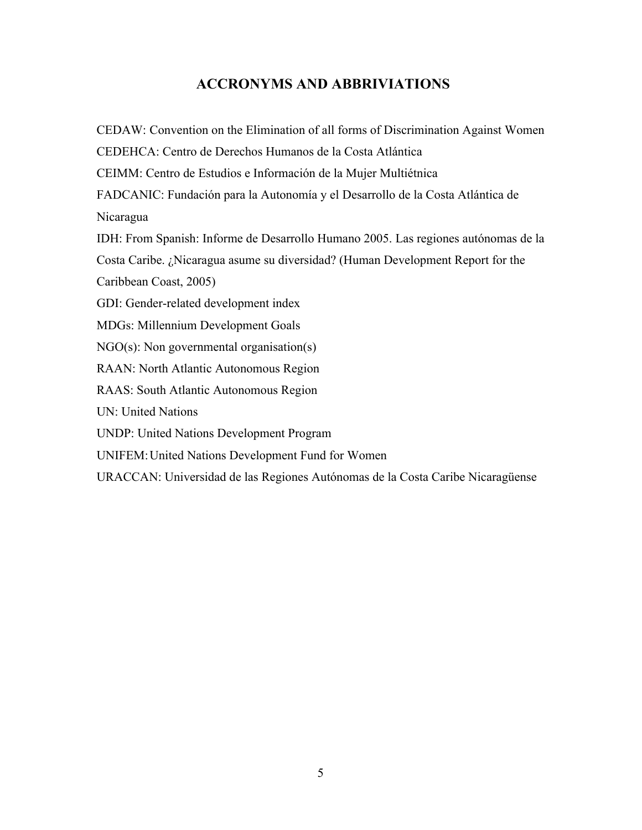# ACCRONYMS AND ABBRIVIATIONS

CEDAW: Convention on the Elimination of all forms of Discrimination Against Women CEDEHCA: Centro de Derechos Humanos de la Costa Atlántica CEIMM: Centro de Estudios e Información de la Mujer Multiétnica FADCANIC: Fundación para la Autonomía y el Desarrollo de la Costa Atlántica de Nicaragua IDH: From Spanish: Informe de Desarrollo Humano 2005. Las regiones autónomas de la Costa Caribe. ¿Nicaragua asume su diversidad? (Human Development Report for the Caribbean Coast, 2005) GDI: Gender-related development index MDGs: Millennium Development Goals NGO(s): Non governmental organisation(s) RAAN: North Atlantic Autonomous Region RAAS: South Atlantic Autonomous Region UN: United Nations UNDP: United Nations Development Program UNIFEM:United Nations Development Fund for Women URACCAN: Universidad de las Regiones Autónomas de la Costa Caribe Nicaragüense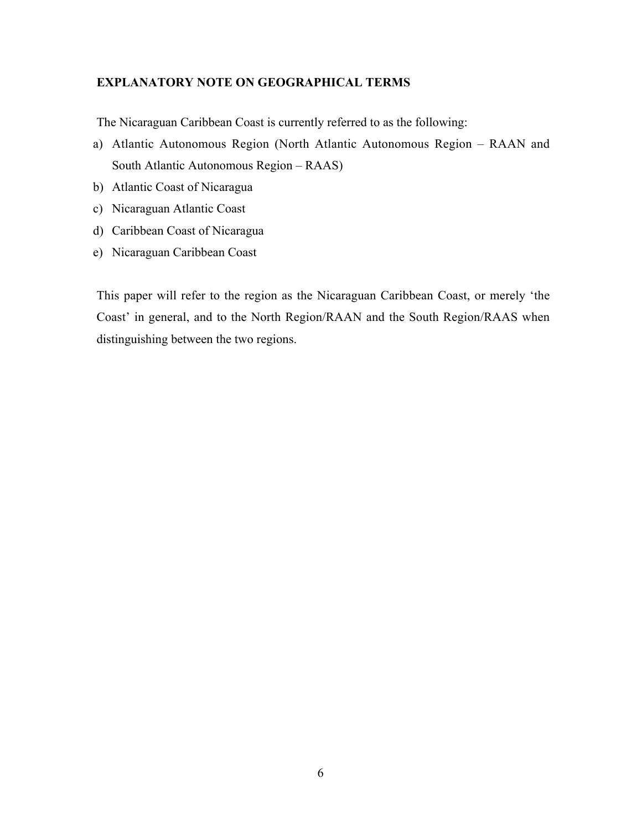## EXPLANATORY NOTE ON GEOGRAPHICAL TERMS

The Nicaraguan Caribbean Coast is currently referred to as the following:

- a) Atlantic Autonomous Region (North Atlantic Autonomous Region RAAN and South Atlantic Autonomous Region – RAAS)
- b) Atlantic Coast of Nicaragua
- c) Nicaraguan Atlantic Coast
- d) Caribbean Coast of Nicaragua
- e) Nicaraguan Caribbean Coast

This paper will refer to the region as the Nicaraguan Caribbean Coast, or merely 'the Coast' in general, and to the North Region/RAAN and the South Region/RAAS when distinguishing between the two regions.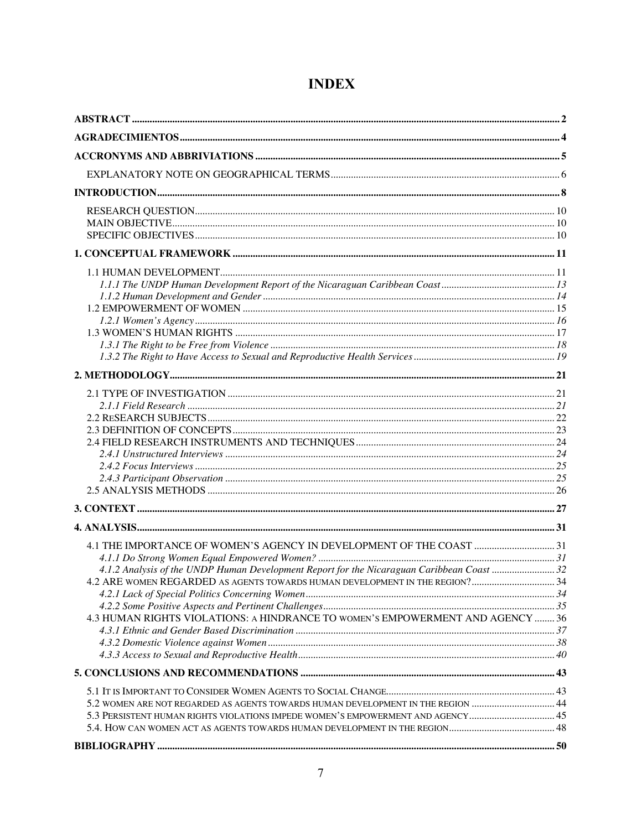| 4.1 THE IMPORTANCE OF WOMEN'S AGENCY IN DEVELOPMENT OF THE COAST  31                       |  |
|--------------------------------------------------------------------------------------------|--|
|                                                                                            |  |
| 4.1.2 Analysis of the UNDP Human Development Report for the Nicaraguan Caribbean Coast  32 |  |
| 4.2 ARE WOMEN REGARDED AS AGENTS TOWARDS HUMAN DEVELOPMENT IN THE REGION? 34               |  |
|                                                                                            |  |
|                                                                                            |  |
| 4.3 HUMAN RIGHTS VIOLATIONS: A HINDRANCE TO WOMEN'S EMPOWERMENT AND AGENCY  36             |  |
|                                                                                            |  |
|                                                                                            |  |
|                                                                                            |  |
|                                                                                            |  |
| 5.2 WOMEN ARE NOT REGARDED AS AGENTS TOWARDS HUMAN DEVELOPMENT IN THE REGION  44           |  |
| 5.3 PERSISTENT HUMAN RIGHTS VIOLATIONS IMPEDE WOMEN'S EMPOWERMENT AND AGENCY 45            |  |
|                                                                                            |  |
|                                                                                            |  |

# **INDEX**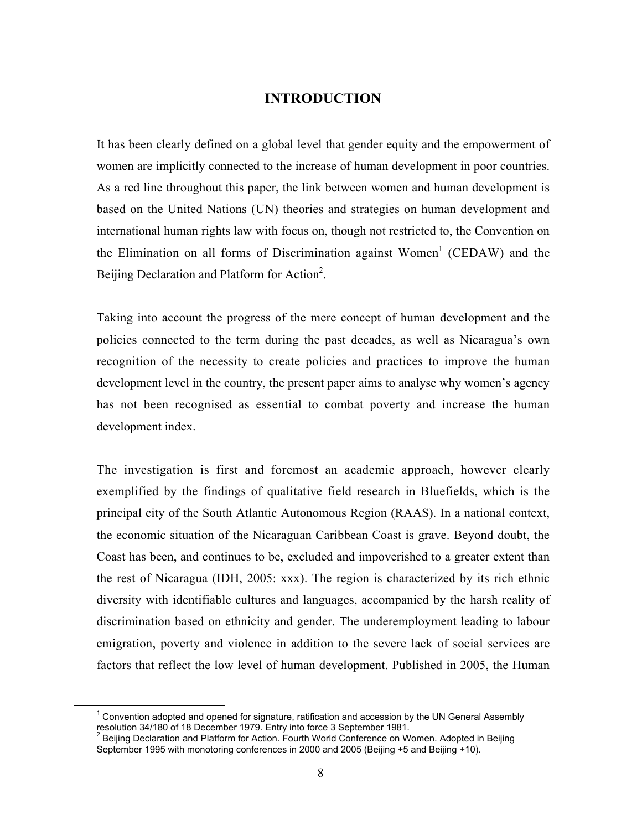## INTRODUCTION

It has been clearly defined on a global level that gender equity and the empowerment of women are implicitly connected to the increase of human development in poor countries. As a red line throughout this paper, the link between women and human development is based on the United Nations (UN) theories and strategies on human development and international human rights law with focus on, though not restricted to, the Convention on the Elimination on all forms of Discrimination against Women<sup>1</sup> (CEDAW) and the Beijing Declaration and Platform for Action<sup>2</sup>.

Taking into account the progress of the mere concept of human development and the policies connected to the term during the past decades, as well as Nicaragua's own recognition of the necessity to create policies and practices to improve the human development level in the country, the present paper aims to analyse why women's agency has not been recognised as essential to combat poverty and increase the human development index.

The investigation is first and foremost an academic approach, however clearly exemplified by the findings of qualitative field research in Bluefields, which is the principal city of the South Atlantic Autonomous Region (RAAS). In a national context, the economic situation of the Nicaraguan Caribbean Coast is grave. Beyond doubt, the Coast has been, and continues to be, excluded and impoverished to a greater extent than the rest of Nicaragua (IDH, 2005: xxx). The region is characterized by its rich ethnic diversity with identifiable cultures and languages, accompanied by the harsh reality of discrimination based on ethnicity and gender. The underemployment leading to labour emigration, poverty and violence in addition to the severe lack of social services are factors that reflect the low level of human development. Published in 2005, the Human

 $\overline{\phantom{0}}$  $1$  Convention adopted and opened for signature, ratification and accession by the UN General Assembly resolution 34/180 of 18 December 1979. Entry into force 3 September 1981.

<sup>2</sup> Beijing Declaration and Platform for Action. Fourth World Conference on Women. Adopted in Beijing September 1995 with monotoring conferences in 2000 and 2005 (Beijing +5 and Beijing +10).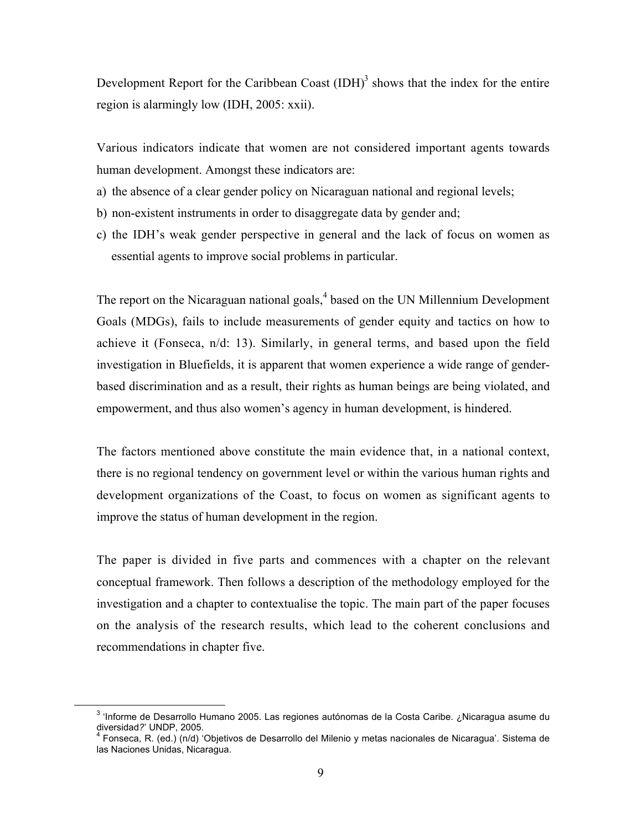Development Report for the Caribbean Coast  $(IDH)<sup>3</sup>$  shows that the index for the entire region is alarmingly low (IDH, 2005: xxii).

Various indicators indicate that women are not considered important agents towards human development. Amongst these indicators are:

- a) the absence of a clear gender policy on Nicaraguan national and regional levels;
- b) non-existent instruments in order to disaggregate data by gender and;
- c) the IDH's weak gender perspective in general and the lack of focus on women as essential agents to improve social problems in particular.

The report on the Nicaraguan national goals,<sup>4</sup> based on the UN Millennium Development Goals (MDGs), fails to include measurements of gender equity and tactics on how to achieve it (Fonseca, n/d: 13). Similarly, in general terms, and based upon the field investigation in Bluefields, it is apparent that women experience a wide range of genderbased discrimination and as a result, their rights as human beings are being violated, and empowerment, and thus also women's agency in human development, is hindered.

The factors mentioned above constitute the main evidence that, in a national context, there is no regional tendency on government level or within the various human rights and development organizations of the Coast, to focus on women as significant agents to improve the status of human development in the region.

The paper is divided in five parts and commences with a chapter on the relevant conceptual framework. Then follows a description of the methodology employed for the investigation and a chapter to contextualise the topic. The main part of the paper focuses on the analysis of the research results, which lead to the coherent conclusions and recommendations in chapter five.

<sup>&</sup>lt;sup>3</sup> 'Informe de Desarrollo Humano 2005. Las regiones autónomas de la Costa Caribe. ¿Nicaragua asume du<br>diversidad?' UNDP, 2005.

<sup>&</sup>lt;sup>4</sup> Fonseca, R. (ed.) (n/d) 'Objetivos de Desarrollo del Milenio y metas nacionales de Nicaragua'. Sistema de las Naciones Unidas, Nicaragua.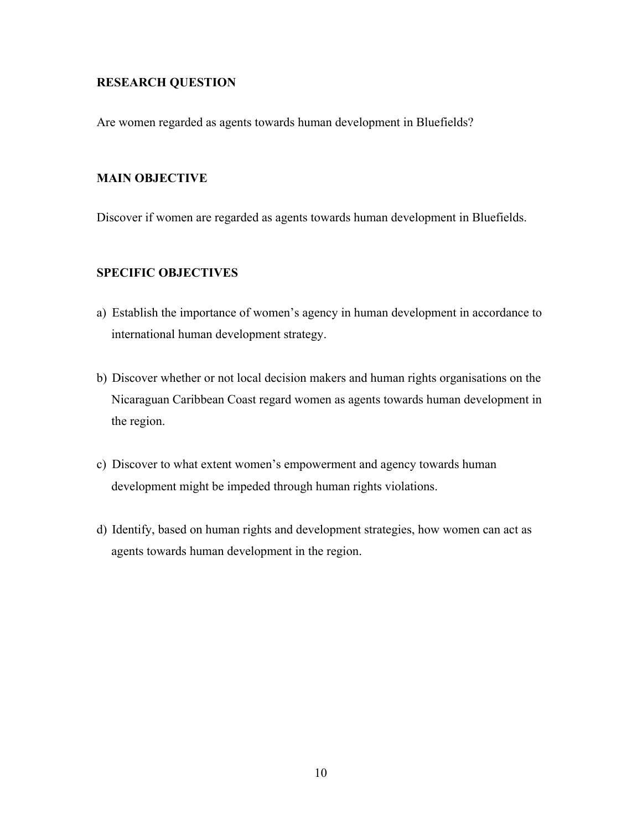### RESEARCH QUESTION

Are women regarded as agents towards human development in Bluefields?

#### MAIN OBJECTIVE

Discover if women are regarded as agents towards human development in Bluefields.

## SPECIFIC OBJECTIVES

- a) Establish the importance of women's agency in human development in accordance to international human development strategy.
- b) Discover whether or not local decision makers and human rights organisations on the Nicaraguan Caribbean Coast regard women as agents towards human development in the region.
- c) Discover to what extent women's empowerment and agency towards human development might be impeded through human rights violations.
- d) Identify, based on human rights and development strategies, how women can act as agents towards human development in the region.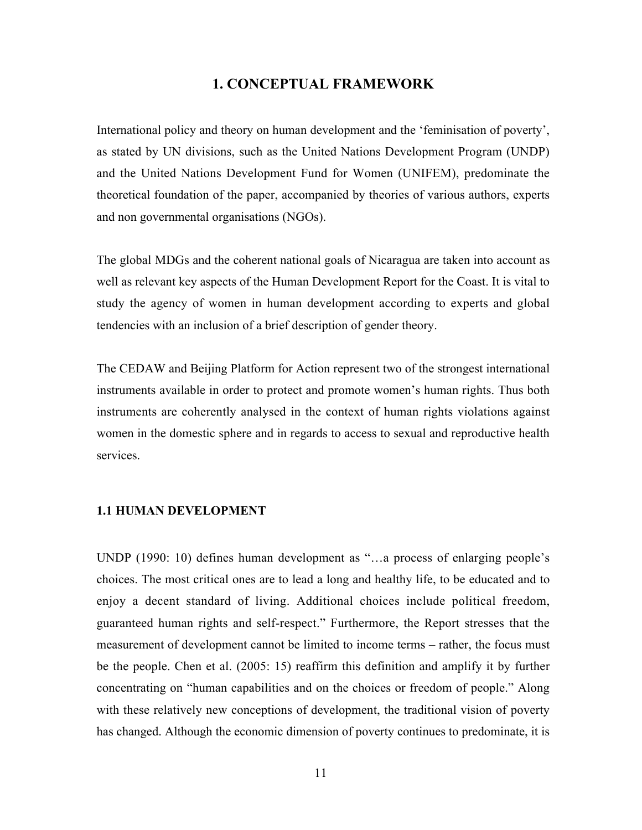### 1. CONCEPTUAL FRAMEWORK

International policy and theory on human development and the 'feminisation of poverty', as stated by UN divisions, such as the United Nations Development Program (UNDP) and the United Nations Development Fund for Women (UNIFEM), predominate the theoretical foundation of the paper, accompanied by theories of various authors, experts and non governmental organisations (NGOs).

The global MDGs and the coherent national goals of Nicaragua are taken into account as well as relevant key aspects of the Human Development Report for the Coast. It is vital to study the agency of women in human development according to experts and global tendencies with an inclusion of a brief description of gender theory.

The CEDAW and Beijing Platform for Action represent two of the strongest international instruments available in order to protect and promote women's human rights. Thus both instruments are coherently analysed in the context of human rights violations against women in the domestic sphere and in regards to access to sexual and reproductive health services.

#### 1.1 HUMAN DEVELOPMENT

UNDP (1990: 10) defines human development as "…a process of enlarging people's choices. The most critical ones are to lead a long and healthy life, to be educated and to enjoy a decent standard of living. Additional choices include political freedom, guaranteed human rights and self-respect." Furthermore, the Report stresses that the measurement of development cannot be limited to income terms – rather, the focus must be the people. Chen et al. (2005: 15) reaffirm this definition and amplify it by further concentrating on "human capabilities and on the choices or freedom of people." Along with these relatively new conceptions of development, the traditional vision of poverty has changed. Although the economic dimension of poverty continues to predominate, it is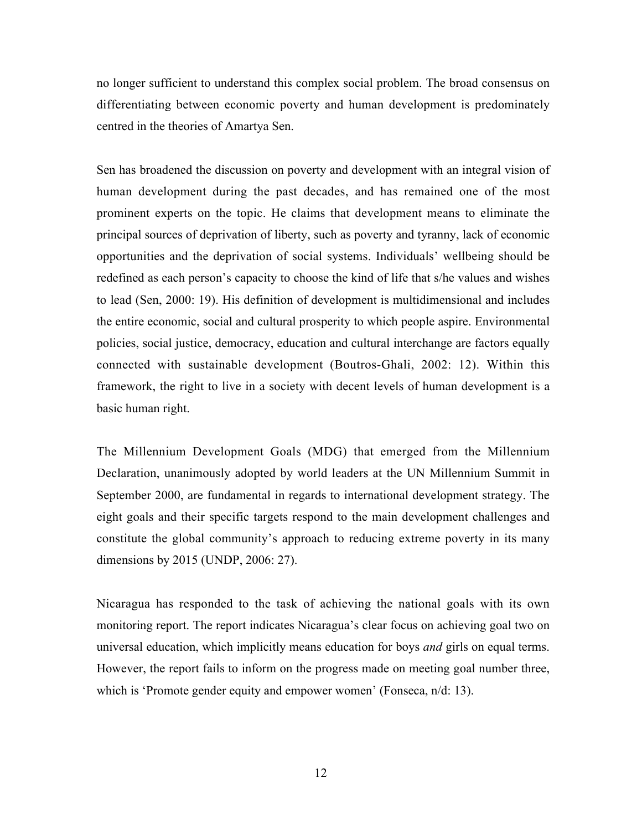no longer sufficient to understand this complex social problem. The broad consensus on differentiating between economic poverty and human development is predominately centred in the theories of Amartya Sen.

Sen has broadened the discussion on poverty and development with an integral vision of human development during the past decades, and has remained one of the most prominent experts on the topic. He claims that development means to eliminate the principal sources of deprivation of liberty, such as poverty and tyranny, lack of economic opportunities and the deprivation of social systems. Individuals' wellbeing should be redefined as each person's capacity to choose the kind of life that s/he values and wishes to lead (Sen, 2000: 19). His definition of development is multidimensional and includes the entire economic, social and cultural prosperity to which people aspire. Environmental policies, social justice, democracy, education and cultural interchange are factors equally connected with sustainable development (Boutros-Ghali, 2002: 12). Within this framework, the right to live in a society with decent levels of human development is a basic human right.

The Millennium Development Goals (MDG) that emerged from the Millennium Declaration, unanimously adopted by world leaders at the UN Millennium Summit in September 2000, are fundamental in regards to international development strategy. The eight goals and their specific targets respond to the main development challenges and constitute the global community's approach to reducing extreme poverty in its many dimensions by 2015 (UNDP, 2006: 27).

Nicaragua has responded to the task of achieving the national goals with its own monitoring report. The report indicates Nicaragua's clear focus on achieving goal two on universal education, which implicitly means education for boys *and* girls on equal terms. However, the report fails to inform on the progress made on meeting goal number three, which is 'Promote gender equity and empower women' (Fonseca, n/d: 13).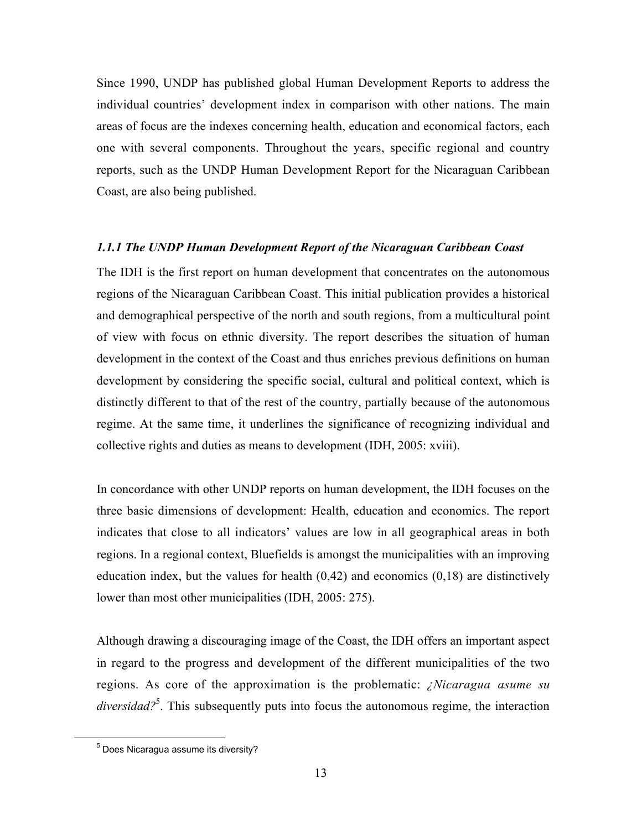Since 1990, UNDP has published global Human Development Reports to address the individual countries' development index in comparison with other nations. The main areas of focus are the indexes concerning health, education and economical factors, each one with several components. Throughout the years, specific regional and country reports, such as the UNDP Human Development Report for the Nicaraguan Caribbean Coast, are also being published.

### *1.1.1 The UNDP Human Development Report of the Nicaraguan Caribbean Coast*

The IDH is the first report on human development that concentrates on the autonomous regions of the Nicaraguan Caribbean Coast. This initial publication provides a historical and demographical perspective of the north and south regions, from a multicultural point of view with focus on ethnic diversity. The report describes the situation of human development in the context of the Coast and thus enriches previous definitions on human development by considering the specific social, cultural and political context, which is distinctly different to that of the rest of the country, partially because of the autonomous regime. At the same time, it underlines the significance of recognizing individual and collective rights and duties as means to development (IDH, 2005: xviii).

In concordance with other UNDP reports on human development, the IDH focuses on the three basic dimensions of development: Health, education and economics. The report indicates that close to all indicators' values are low in all geographical areas in both regions. In a regional context, Bluefields is amongst the municipalities with an improving education index, but the values for health  $(0,42)$  and economics  $(0,18)$  are distinctively lower than most other municipalities (IDH, 2005: 275).

Although drawing a discouraging image of the Coast, the IDH offers an important aspect in regard to the progress and development of the different municipalities of the two regions. As core of the approximation is the problematic: *¿Nicaragua asume su* diversidad?<sup>5</sup>. This subsequently puts into focus the autonomous regime, the interaction

<sup>5</sup>  $<sup>5</sup>$  Does Nicaragua assume its diversity?</sup>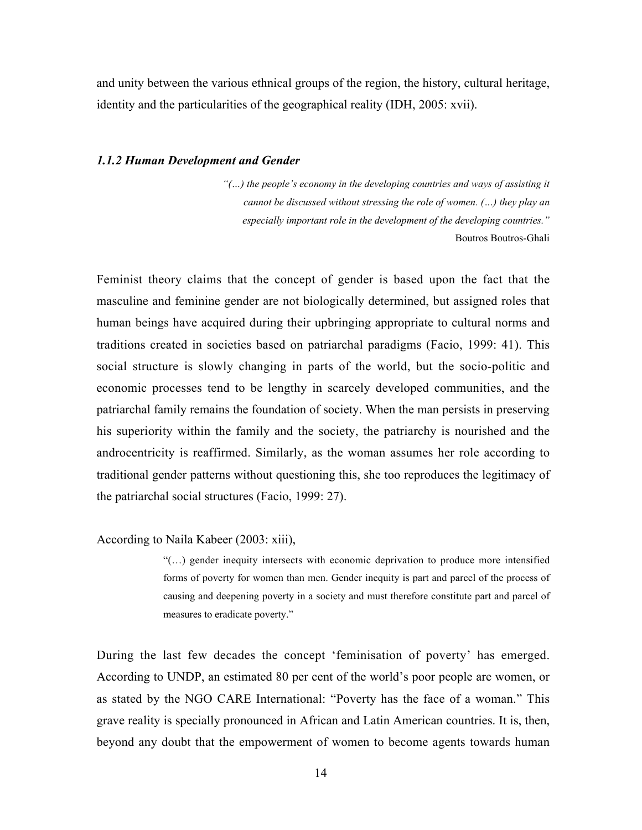and unity between the various ethnical groups of the region, the history, cultural heritage, identity and the particularities of the geographical reality (IDH, 2005: xvii).

#### *1.1.2 Human Development and Gender*

 *"(…) the people's economy in the developing countries and ways of assisting it cannot be discussed without stressing the role of women. (…) they play an especially important role in the development of the developing countries."* Boutros Boutros-Ghali

Feminist theory claims that the concept of gender is based upon the fact that the masculine and feminine gender are not biologically determined, but assigned roles that human beings have acquired during their upbringing appropriate to cultural norms and traditions created in societies based on patriarchal paradigms (Facio, 1999: 41). This social structure is slowly changing in parts of the world, but the socio-politic and economic processes tend to be lengthy in scarcely developed communities, and the patriarchal family remains the foundation of society. When the man persists in preserving his superiority within the family and the society, the patriarchy is nourished and the androcentricity is reaffirmed. Similarly, as the woman assumes her role according to traditional gender patterns without questioning this, she too reproduces the legitimacy of the patriarchal social structures (Facio, 1999: 27).

According to Naila Kabeer (2003: xiii),

"(…) gender inequity intersects with economic deprivation to produce more intensified forms of poverty for women than men. Gender inequity is part and parcel of the process of causing and deepening poverty in a society and must therefore constitute part and parcel of measures to eradicate poverty."

During the last few decades the concept 'feminisation of poverty' has emerged. According to UNDP, an estimated 80 per cent of the world's poor people are women, or as stated by the NGO CARE International: "Poverty has the face of a woman." This grave reality is specially pronounced in African and Latin American countries. It is, then, beyond any doubt that the empowerment of women to become agents towards human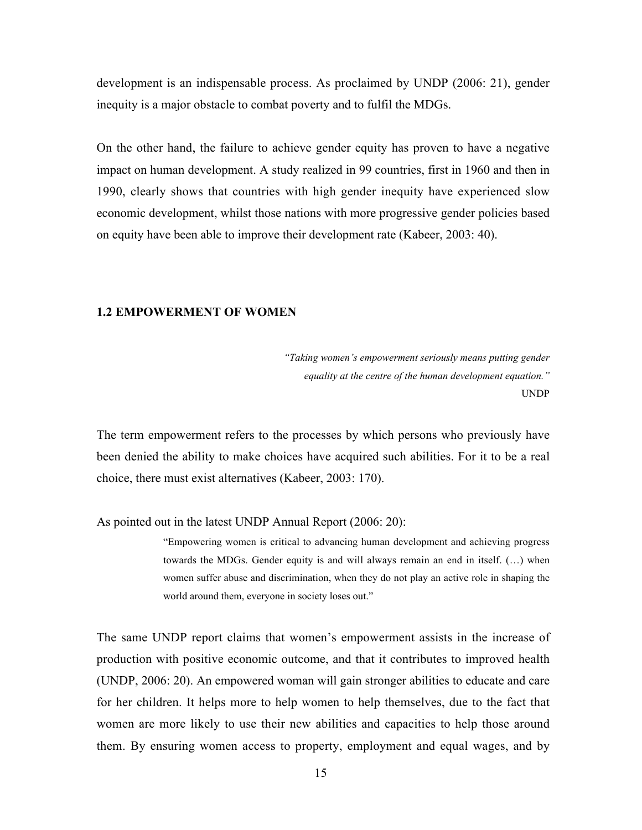development is an indispensable process. As proclaimed by UNDP (2006: 21), gender inequity is a major obstacle to combat poverty and to fulfil the MDGs.

On the other hand, the failure to achieve gender equity has proven to have a negative impact on human development. A study realized in 99 countries, first in 1960 and then in 1990, clearly shows that countries with high gender inequity have experienced slow economic development, whilst those nations with more progressive gender policies based on equity have been able to improve their development rate (Kabeer, 2003: 40).

#### 1.2 EMPOWERMENT OF WOMEN

*"Taking women's empowerment seriously means putting gender equality at the centre of the human development equation."* UNDP

The term empowerment refers to the processes by which persons who previously have been denied the ability to make choices have acquired such abilities. For it to be a real choice, there must exist alternatives (Kabeer, 2003: 170).

As pointed out in the latest UNDP Annual Report (2006: 20):

"Empowering women is critical to advancing human development and achieving progress towards the MDGs. Gender equity is and will always remain an end in itself. (…) when women suffer abuse and discrimination, when they do not play an active role in shaping the world around them, everyone in society loses out."

The same UNDP report claims that women's empowerment assists in the increase of production with positive economic outcome, and that it contributes to improved health (UNDP, 2006: 20). An empowered woman will gain stronger abilities to educate and care for her children. It helps more to help women to help themselves, due to the fact that women are more likely to use their new abilities and capacities to help those around them. By ensuring women access to property, employment and equal wages, and by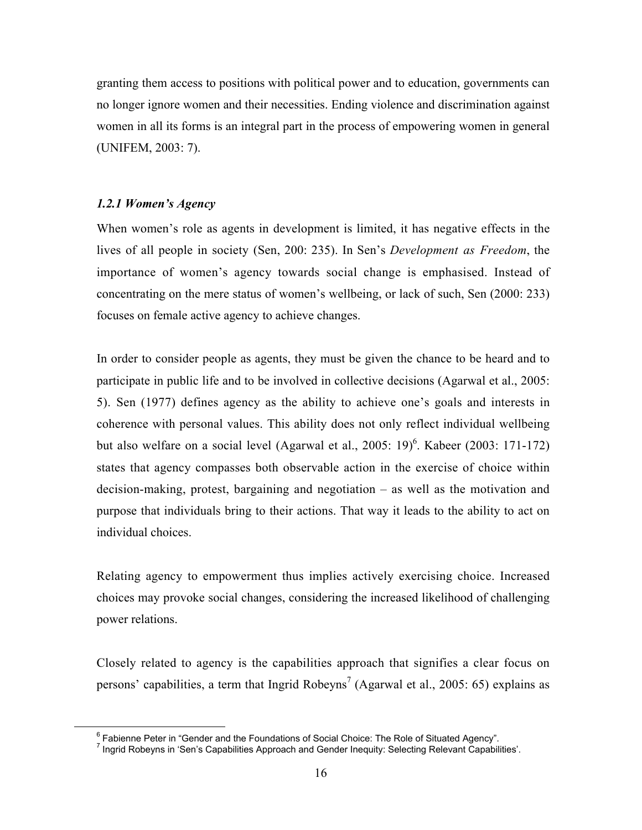granting them access to positions with political power and to education, governments can no longer ignore women and their necessities. Ending violence and discrimination against women in all its forms is an integral part in the process of empowering women in general (UNIFEM, 2003: 7).

#### *1.2.1 Women's Agency*

When women's role as agents in development is limited, it has negative effects in the lives of all people in society (Sen, 200: 235). In Sen's *Development as Freedom*, the importance of women's agency towards social change is emphasised. Instead of concentrating on the mere status of women's wellbeing, or lack of such, Sen (2000: 233) focuses on female active agency to achieve changes.

In order to consider people as agents, they must be given the chance to be heard and to participate in public life and to be involved in collective decisions (Agarwal et al., 2005: 5). Sen (1977) defines agency as the ability to achieve one's goals and interests in coherence with personal values. This ability does not only reflect individual wellbeing but also welfare on a social level (Agarwal et al., 2005: 19)<sup>6</sup>. Kabeer (2003: 171-172) states that agency compasses both observable action in the exercise of choice within decision-making, protest, bargaining and negotiation – as well as the motivation and purpose that individuals bring to their actions. That way it leads to the ability to act on individual choices.

Relating agency to empowerment thus implies actively exercising choice. Increased choices may provoke social changes, considering the increased likelihood of challenging power relations.

Closely related to agency is the capabilities approach that signifies a clear focus on persons' capabilities, a term that Ingrid Robeyns<sup>7</sup> (Agarwal et al., 2005: 65) explains as

<sup>6</sup>  $6$  Fabienne Peter in "Gender and the Foundations of Social Choice: The Role of Situated Agency".

<sup>&</sup>lt;sup>7</sup> Ingrid Robeyns in 'Sen's Capabilities Approach and Gender Inequity: Selecting Relevant Capabilities'.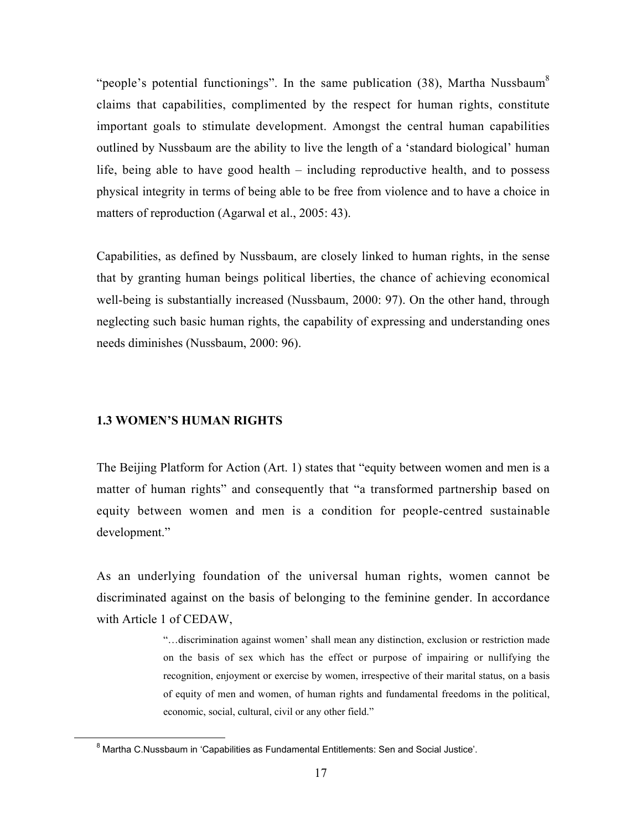"people's potential functionings". In the same publication  $(38)$ , Martha Nussbaum<sup>8</sup> claims that capabilities, complimented by the respect for human rights, constitute important goals to stimulate development. Amongst the central human capabilities outlined by Nussbaum are the ability to live the length of a 'standard biological' human life, being able to have good health – including reproductive health, and to possess physical integrity in terms of being able to be free from violence and to have a choice in matters of reproduction (Agarwal et al., 2005: 43).

Capabilities, as defined by Nussbaum, are closely linked to human rights, in the sense that by granting human beings political liberties, the chance of achieving economical well-being is substantially increased (Nussbaum, 2000: 97). On the other hand, through neglecting such basic human rights, the capability of expressing and understanding ones needs diminishes (Nussbaum, 2000: 96).

#### 1.3 WOMEN'S HUMAN RIGHTS

The Beijing Platform for Action (Art. 1) states that "equity between women and men is a matter of human rights" and consequently that "a transformed partnership based on equity between women and men is a condition for people-centred sustainable development."

As an underlying foundation of the universal human rights, women cannot be discriminated against on the basis of belonging to the feminine gender. In accordance with Article 1 of CEDAW,

> "…discrimination against women' shall mean any distinction, exclusion or restriction made on the basis of sex which has the effect or purpose of impairing or nullifying the recognition, enjoyment or exercise by women, irrespective of their marital status, on a basis of equity of men and women, of human rights and fundamental freedoms in the political, economic, social, cultural, civil or any other field."

 $\overline{8}$  $8$  Martha C.Nussbaum in 'Capabilities as Fundamental Entitlements: Sen and Social Justice'.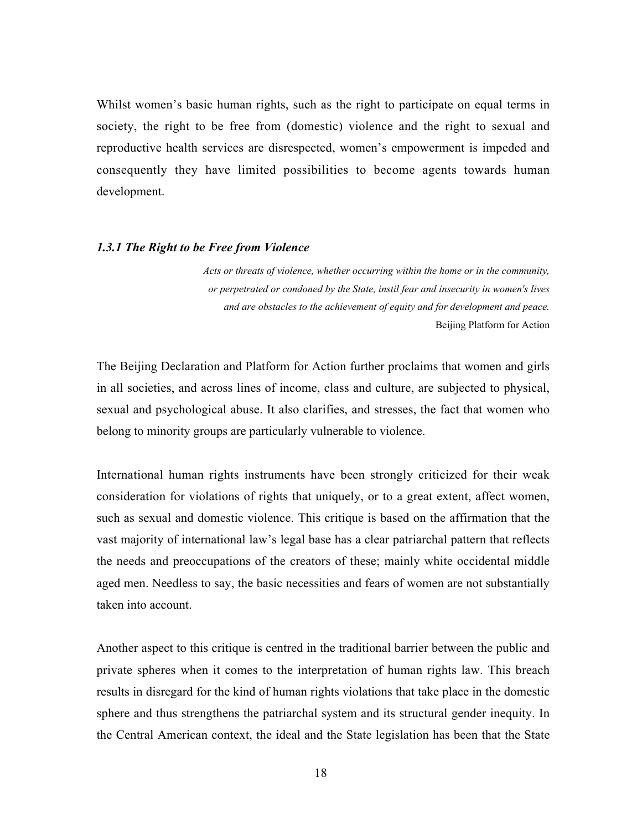Whilst women's basic human rights, such as the right to participate on equal terms in society, the right to be free from (domestic) violence and the right to sexual and reproductive health services are disrespected, women's empowerment is impeded and consequently they have limited possibilities to become agents towards human development.

#### *1.3.1 The Right to be Free from Violence*

*Acts or threats of violence, whether occurring within the home or in the community, or perpetrated or condoned by the State, instil fear and insecurity in women's lives and are obstacles to the achievement of equity and for development and peace.* Beijing Platform for Action

The Beijing Declaration and Platform for Action further proclaims that women and girls in all societies, and across lines of income, class and culture, are subjected to physical, sexual and psychological abuse. It also clarifies, and stresses, the fact that women who belong to minority groups are particularly vulnerable to violence.

International human rights instruments have been strongly criticized for their weak consideration for violations of rights that uniquely, or to a great extent, affect women, such as sexual and domestic violence. This critique is based on the affirmation that the vast majority of international law's legal base has a clear patriarchal pattern that reflects the needs and preoccupations of the creators of these; mainly white occidental middle aged men. Needless to say, the basic necessities and fears of women are not substantially taken into account.

Another aspect to this critique is centred in the traditional barrier between the public and private spheres when it comes to the interpretation of human rights law. This breach results in disregard for the kind of human rights violations that take place in the domestic sphere and thus strengthens the patriarchal system and its structural gender inequity. In the Central American context, the ideal and the State legislation has been that the State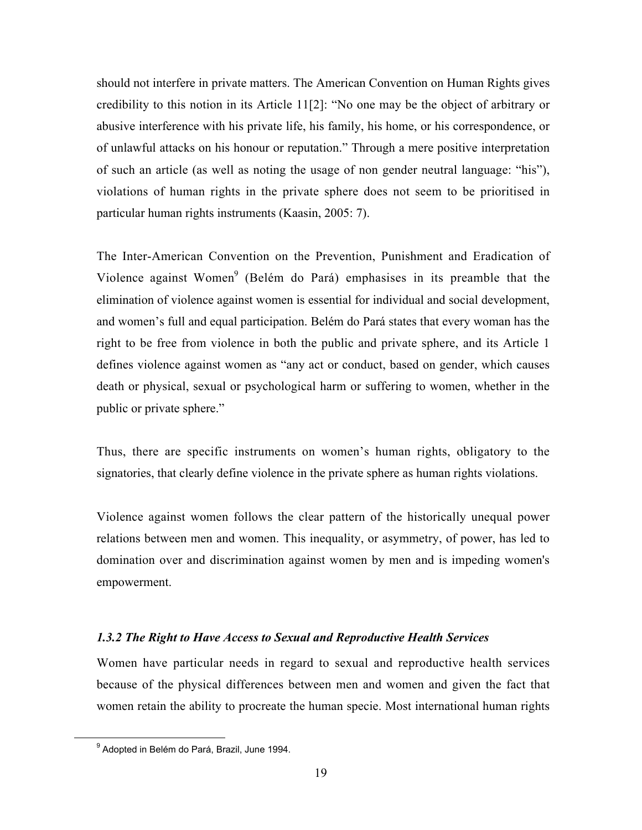should not interfere in private matters. The American Convention on Human Rights gives credibility to this notion in its Article 11[2]: "No one may be the object of arbitrary or abusive interference with his private life, his family, his home, or his correspondence, or of unlawful attacks on his honour or reputation." Through a mere positive interpretation of such an article (as well as noting the usage of non gender neutral language: "his"), violations of human rights in the private sphere does not seem to be prioritised in particular human rights instruments (Kaasin, 2005: 7).

The Inter-American Convention on the Prevention, Punishment and Eradication of Violence against Women<sup>9</sup> (Belém do Pará) emphasises in its preamble that the elimination of violence against women is essential for individual and social development, and women's full and equal participation. Belém do Pará states that every woman has the right to be free from violence in both the public and private sphere, and its Article 1 defines violence against women as "any act or conduct, based on gender, which causes death or physical, sexual or psychological harm or suffering to women, whether in the public or private sphere."

Thus, there are specific instruments on women's human rights, obligatory to the signatories, that clearly define violence in the private sphere as human rights violations.

Violence against women follows the clear pattern of the historically unequal power relations between men and women. This inequality, or asymmetry, of power, has led to domination over and discrimination against women by men and is impeding women's empowerment.

#### *1.3.2 The Right to Have Access to Sexual and Reproductive Health Services*

Women have particular needs in regard to sexual and reproductive health services because of the physical differences between men and women and given the fact that women retain the ability to procreate the human specie. Most international human rights

<sup>9</sup> <sup>9</sup> Adopted in Belém do Pará, Brazil, June 1994.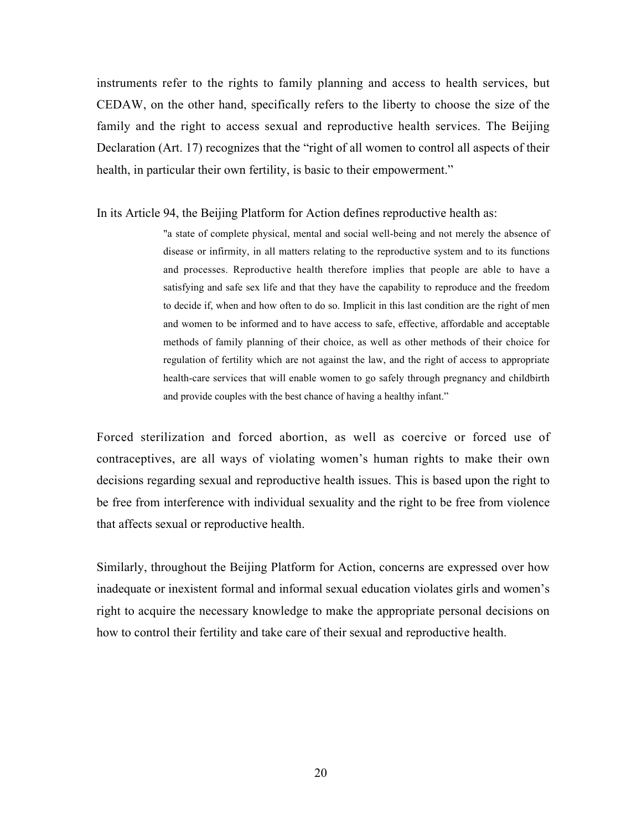instruments refer to the rights to family planning and access to health services, but CEDAW, on the other hand, specifically refers to the liberty to choose the size of the family and the right to access sexual and reproductive health services. The Beijing Declaration (Art. 17) recognizes that the "right of all women to control all aspects of their health, in particular their own fertility, is basic to their empowerment."

#### In its Article 94, the Beijing Platform for Action defines reproductive health as:

"a state of complete physical, mental and social well-being and not merely the absence of disease or infirmity, in all matters relating to the reproductive system and to its functions and processes. Reproductive health therefore implies that people are able to have a satisfying and safe sex life and that they have the capability to reproduce and the freedom to decide if, when and how often to do so. Implicit in this last condition are the right of men and women to be informed and to have access to safe, effective, affordable and acceptable methods of family planning of their choice, as well as other methods of their choice for regulation of fertility which are not against the law, and the right of access to appropriate health-care services that will enable women to go safely through pregnancy and childbirth and provide couples with the best chance of having a healthy infant."

Forced sterilization and forced abortion, as well as coercive or forced use of contraceptives, are all ways of violating women's human rights to make their own decisions regarding sexual and reproductive health issues. This is based upon the right to be free from interference with individual sexuality and the right to be free from violence that affects sexual or reproductive health.

Similarly, throughout the Beijing Platform for Action, concerns are expressed over how inadequate or inexistent formal and informal sexual education violates girls and women's right to acquire the necessary knowledge to make the appropriate personal decisions on how to control their fertility and take care of their sexual and reproductive health.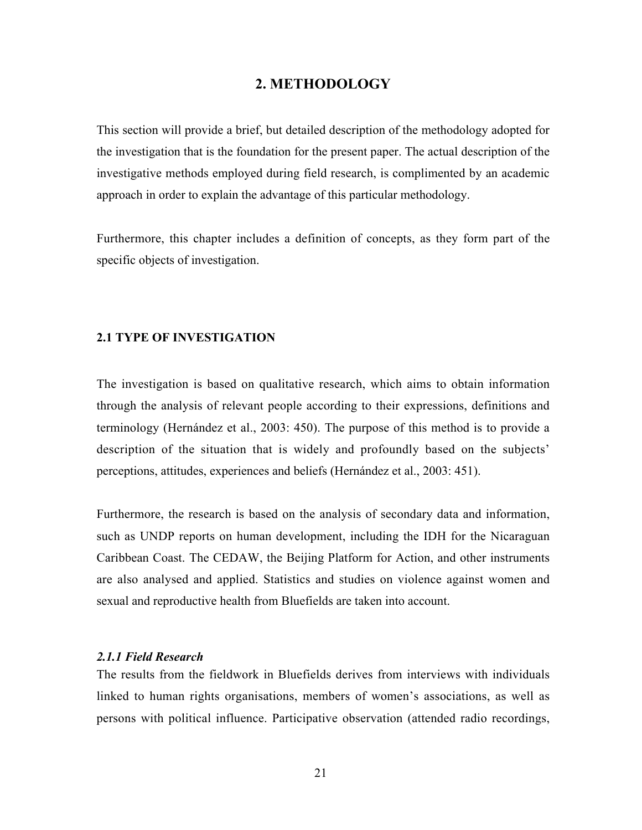## 2. METHODOLOGY

This section will provide a brief, but detailed description of the methodology adopted for the investigation that is the foundation for the present paper. The actual description of the investigative methods employed during field research, is complimented by an academic approach in order to explain the advantage of this particular methodology.

Furthermore, this chapter includes a definition of concepts, as they form part of the specific objects of investigation.

#### 2.1 TYPE OF INVESTIGATION

The investigation is based on qualitative research, which aims to obtain information through the analysis of relevant people according to their expressions, definitions and terminology (Hernández et al., 2003: 450). The purpose of this method is to provide a description of the situation that is widely and profoundly based on the subjects' perceptions, attitudes, experiences and beliefs (Hernández et al., 2003: 451).

Furthermore, the research is based on the analysis of secondary data and information, such as UNDP reports on human development, including the IDH for the Nicaraguan Caribbean Coast. The CEDAW, the Beijing Platform for Action, and other instruments are also analysed and applied. Statistics and studies on violence against women and sexual and reproductive health from Bluefields are taken into account.

## *2.1.1 Field Research*

The results from the fieldwork in Bluefields derives from interviews with individuals linked to human rights organisations, members of women's associations, as well as persons with political influence. Participative observation (attended radio recordings,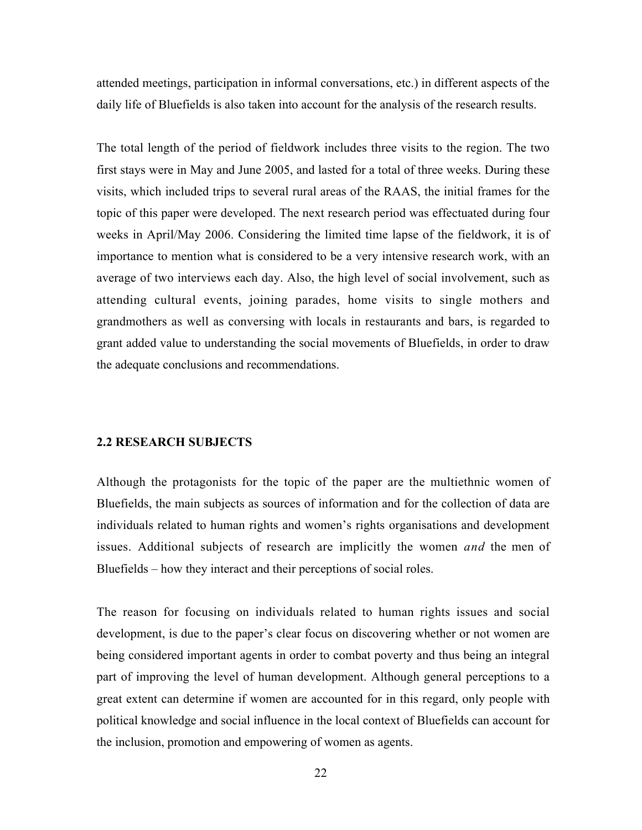attended meetings, participation in informal conversations, etc.) in different aspects of the daily life of Bluefields is also taken into account for the analysis of the research results.

The total length of the period of fieldwork includes three visits to the region. The two first stays were in May and June 2005, and lasted for a total of three weeks. During these visits, which included trips to several rural areas of the RAAS, the initial frames for the topic of this paper were developed. The next research period was effectuated during four weeks in April/May 2006. Considering the limited time lapse of the fieldwork, it is of importance to mention what is considered to be a very intensive research work, with an average of two interviews each day. Also, the high level of social involvement, such as attending cultural events, joining parades, home visits to single mothers and grandmothers as well as conversing with locals in restaurants and bars, is regarded to grant added value to understanding the social movements of Bluefields, in order to draw the adequate conclusions and recommendations.

#### 2.2 RESEARCH SUBJECTS

Although the protagonists for the topic of the paper are the multiethnic women of Bluefields, the main subjects as sources of information and for the collection of data are individuals related to human rights and women's rights organisations and development issues. Additional subjects of research are implicitly the women *and* the men of Bluefields – how they interact and their perceptions of social roles.

The reason for focusing on individuals related to human rights issues and social development, is due to the paper's clear focus on discovering whether or not women are being considered important agents in order to combat poverty and thus being an integral part of improving the level of human development. Although general perceptions to a great extent can determine if women are accounted for in this regard, only people with political knowledge and social influence in the local context of Bluefields can account for the inclusion, promotion and empowering of women as agents.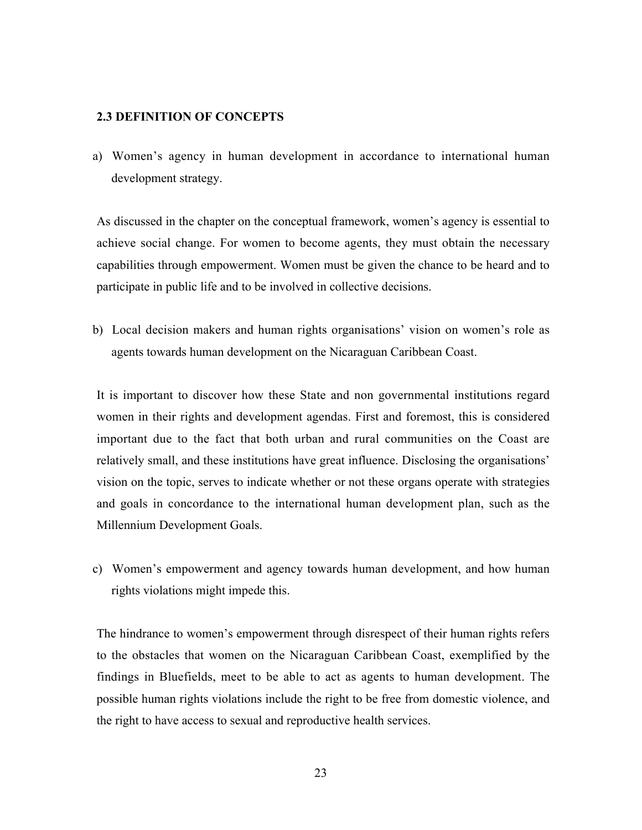### 2.3 DEFINITION OF CONCEPTS

a) Women's agency in human development in accordance to international human development strategy.

As discussed in the chapter on the conceptual framework, women's agency is essential to achieve social change. For women to become agents, they must obtain the necessary capabilities through empowerment. Women must be given the chance to be heard and to participate in public life and to be involved in collective decisions.

b) Local decision makers and human rights organisations' vision on women's role as agents towards human development on the Nicaraguan Caribbean Coast.

It is important to discover how these State and non governmental institutions regard women in their rights and development agendas. First and foremost, this is considered important due to the fact that both urban and rural communities on the Coast are relatively small, and these institutions have great influence. Disclosing the organisations' vision on the topic, serves to indicate whether or not these organs operate with strategies and goals in concordance to the international human development plan, such as the Millennium Development Goals.

c) Women's empowerment and agency towards human development, and how human rights violations might impede this.

The hindrance to women's empowerment through disrespect of their human rights refers to the obstacles that women on the Nicaraguan Caribbean Coast, exemplified by the findings in Bluefields, meet to be able to act as agents to human development. The possible human rights violations include the right to be free from domestic violence, and the right to have access to sexual and reproductive health services.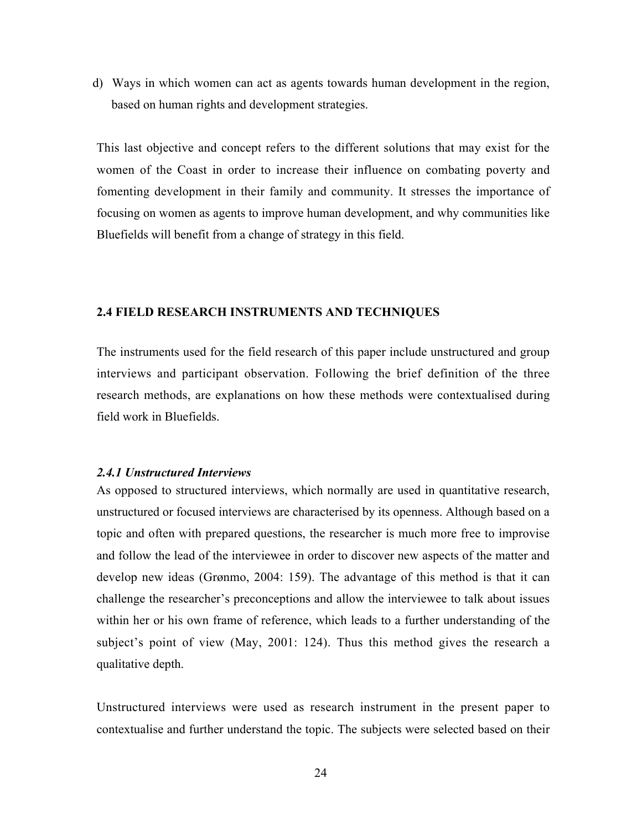d) Ways in which women can act as agents towards human development in the region, based on human rights and development strategies.

This last objective and concept refers to the different solutions that may exist for the women of the Coast in order to increase their influence on combating poverty and fomenting development in their family and community. It stresses the importance of focusing on women as agents to improve human development, and why communities like Bluefields will benefit from a change of strategy in this field.

#### 2.4 FIELD RESEARCH INSTRUMENTS AND TECHNIQUES

The instruments used for the field research of this paper include unstructured and group interviews and participant observation. Following the brief definition of the three research methods, are explanations on how these methods were contextualised during field work in Bluefields.

#### *2.4.1 Unstructured Interviews*

As opposed to structured interviews, which normally are used in quantitative research, unstructured or focused interviews are characterised by its openness. Although based on a topic and often with prepared questions, the researcher is much more free to improvise and follow the lead of the interviewee in order to discover new aspects of the matter and develop new ideas (Grønmo, 2004: 159). The advantage of this method is that it can challenge the researcher's preconceptions and allow the interviewee to talk about issues within her or his own frame of reference, which leads to a further understanding of the subject's point of view (May, 2001: 124). Thus this method gives the research a qualitative depth.

Unstructured interviews were used as research instrument in the present paper to contextualise and further understand the topic. The subjects were selected based on their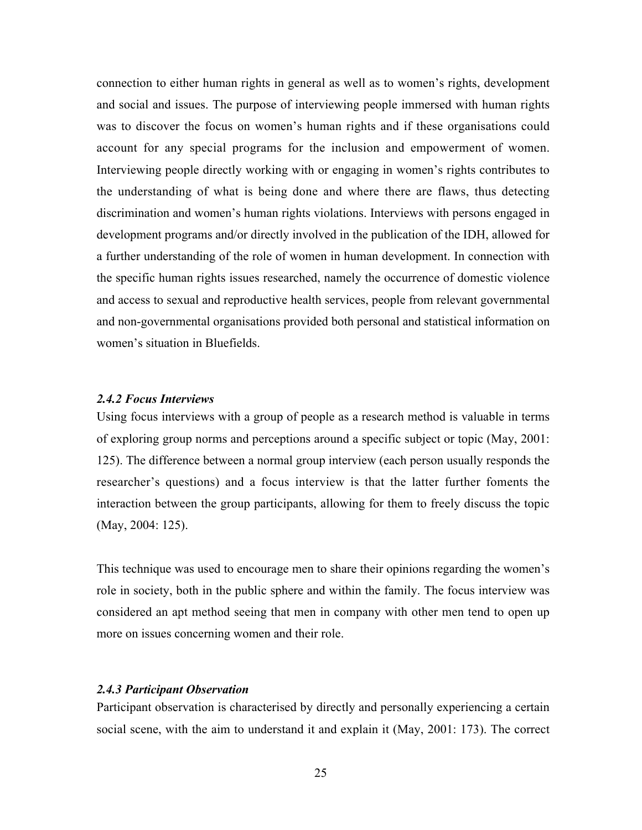connection to either human rights in general as well as to women's rights, development and social and issues. The purpose of interviewing people immersed with human rights was to discover the focus on women's human rights and if these organisations could account for any special programs for the inclusion and empowerment of women. Interviewing people directly working with or engaging in women's rights contributes to the understanding of what is being done and where there are flaws, thus detecting discrimination and women's human rights violations. Interviews with persons engaged in development programs and/or directly involved in the publication of the IDH, allowed for a further understanding of the role of women in human development. In connection with the specific human rights issues researched, namely the occurrence of domestic violence and access to sexual and reproductive health services, people from relevant governmental and non-governmental organisations provided both personal and statistical information on women's situation in Bluefields.

#### *2.4.2 Focus Interviews*

Using focus interviews with a group of people as a research method is valuable in terms of exploring group norms and perceptions around a specific subject or topic (May, 2001: 125). The difference between a normal group interview (each person usually responds the researcher's questions) and a focus interview is that the latter further foments the interaction between the group participants, allowing for them to freely discuss the topic (May, 2004: 125).

This technique was used to encourage men to share their opinions regarding the women's role in society, both in the public sphere and within the family. The focus interview was considered an apt method seeing that men in company with other men tend to open up more on issues concerning women and their role.

#### *2.4.3 Participant Observation*

Participant observation is characterised by directly and personally experiencing a certain social scene, with the aim to understand it and explain it (May, 2001: 173). The correct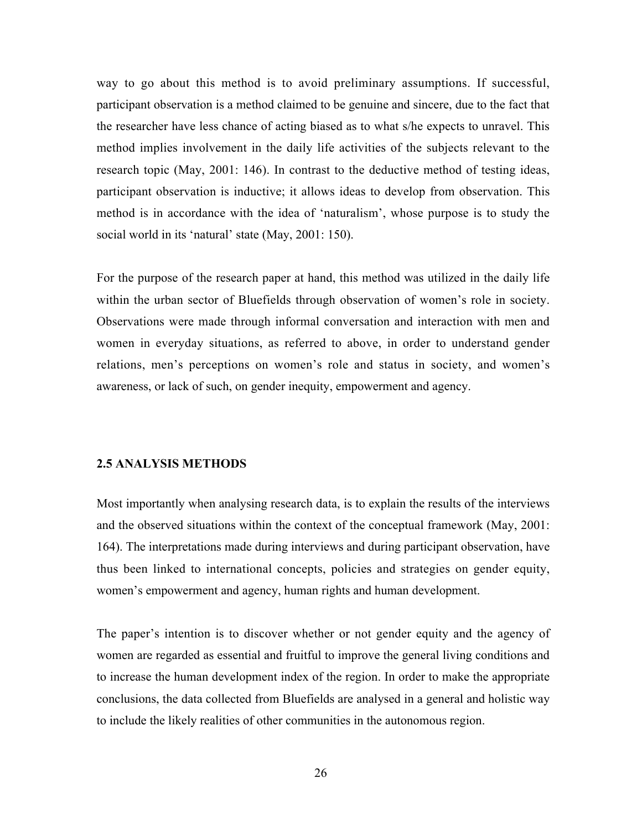way to go about this method is to avoid preliminary assumptions. If successful, participant observation is a method claimed to be genuine and sincere, due to the fact that the researcher have less chance of acting biased as to what s/he expects to unravel. This method implies involvement in the daily life activities of the subjects relevant to the research topic (May, 2001: 146). In contrast to the deductive method of testing ideas, participant observation is inductive; it allows ideas to develop from observation. This method is in accordance with the idea of 'naturalism', whose purpose is to study the social world in its 'natural' state (May, 2001: 150).

For the purpose of the research paper at hand, this method was utilized in the daily life within the urban sector of Bluefields through observation of women's role in society. Observations were made through informal conversation and interaction with men and women in everyday situations, as referred to above, in order to understand gender relations, men's perceptions on women's role and status in society, and women's awareness, or lack of such, on gender inequity, empowerment and agency.

#### 2.5 ANALYSIS METHODS

Most importantly when analysing research data, is to explain the results of the interviews and the observed situations within the context of the conceptual framework (May, 2001: 164). The interpretations made during interviews and during participant observation, have thus been linked to international concepts, policies and strategies on gender equity, women's empowerment and agency, human rights and human development.

The paper's intention is to discover whether or not gender equity and the agency of women are regarded as essential and fruitful to improve the general living conditions and to increase the human development index of the region. In order to make the appropriate conclusions, the data collected from Bluefields are analysed in a general and holistic way to include the likely realities of other communities in the autonomous region.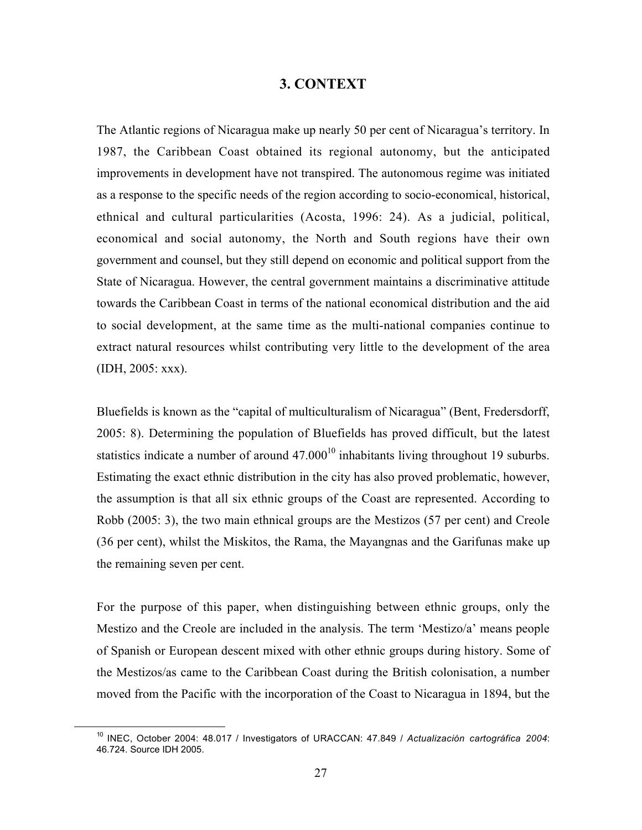## 3. CONTEXT

The Atlantic regions of Nicaragua make up nearly 50 per cent of Nicaragua's territory. In 1987, the Caribbean Coast obtained its regional autonomy, but the anticipated improvements in development have not transpired. The autonomous regime was initiated as a response to the specific needs of the region according to socio-economical, historical, ethnical and cultural particularities (Acosta, 1996: 24). As a judicial, political, economical and social autonomy, the North and South regions have their own government and counsel, but they still depend on economic and political support from the State of Nicaragua. However, the central government maintains a discriminative attitude towards the Caribbean Coast in terms of the national economical distribution and the aid to social development, at the same time as the multi-national companies continue to extract natural resources whilst contributing very little to the development of the area (IDH, 2005: xxx).

Bluefields is known as the "capital of multiculturalism of Nicaragua" (Bent, Fredersdorff, 2005: 8). Determining the population of Bluefields has proved difficult, but the latest statistics indicate a number of around  $47.000^{10}$  inhabitants living throughout 19 suburbs. Estimating the exact ethnic distribution in the city has also proved problematic, however, the assumption is that all six ethnic groups of the Coast are represented. According to Robb (2005: 3), the two main ethnical groups are the Mestizos (57 per cent) and Creole (36 per cent), whilst the Miskitos, the Rama, the Mayangnas and the Garifunas make up the remaining seven per cent.

For the purpose of this paper, when distinguishing between ethnic groups, only the Mestizo and the Creole are included in the analysis. The term 'Mestizo/a' means people of Spanish or European descent mixed with other ethnic groups during history. Some of the Mestizos/as came to the Caribbean Coast during the British colonisation, a number moved from the Pacific with the incorporation of the Coast to Nicaragua in 1894, but the

<sup>10</sup> INEC, October 2004: 48.017 / Investigators of URACCAN: 47.849 / *Actualización cartográfica 2004*: 46.724. Source IDH 2005.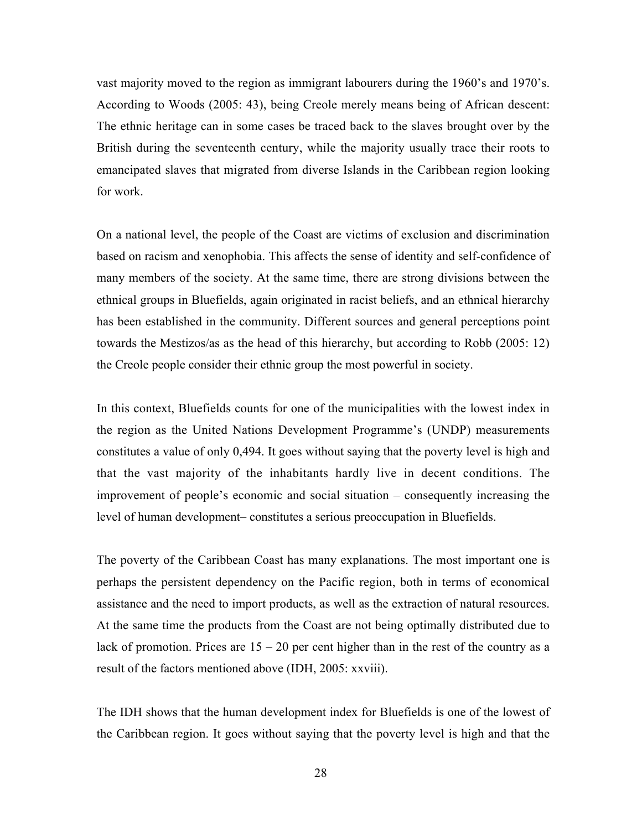vast majority moved to the region as immigrant labourers during the 1960's and 1970's. According to Woods (2005: 43), being Creole merely means being of African descent: The ethnic heritage can in some cases be traced back to the slaves brought over by the British during the seventeenth century, while the majority usually trace their roots to emancipated slaves that migrated from diverse Islands in the Caribbean region looking for work.

On a national level, the people of the Coast are victims of exclusion and discrimination based on racism and xenophobia. This affects the sense of identity and self-confidence of many members of the society. At the same time, there are strong divisions between the ethnical groups in Bluefields, again originated in racist beliefs, and an ethnical hierarchy has been established in the community. Different sources and general perceptions point towards the Mestizos/as as the head of this hierarchy, but according to Robb (2005: 12) the Creole people consider their ethnic group the most powerful in society.

In this context, Bluefields counts for one of the municipalities with the lowest index in the region as the United Nations Development Programme's (UNDP) measurements constitutes a value of only 0,494. It goes without saying that the poverty level is high and that the vast majority of the inhabitants hardly live in decent conditions. The improvement of people's economic and social situation – consequently increasing the level of human development– constitutes a serious preoccupation in Bluefields.

The poverty of the Caribbean Coast has many explanations. The most important one is perhaps the persistent dependency on the Pacific region, both in terms of economical assistance and the need to import products, as well as the extraction of natural resources. At the same time the products from the Coast are not being optimally distributed due to lack of promotion. Prices are  $15 - 20$  per cent higher than in the rest of the country as a result of the factors mentioned above (IDH, 2005: xxviii).

The IDH shows that the human development index for Bluefields is one of the lowest of the Caribbean region. It goes without saying that the poverty level is high and that the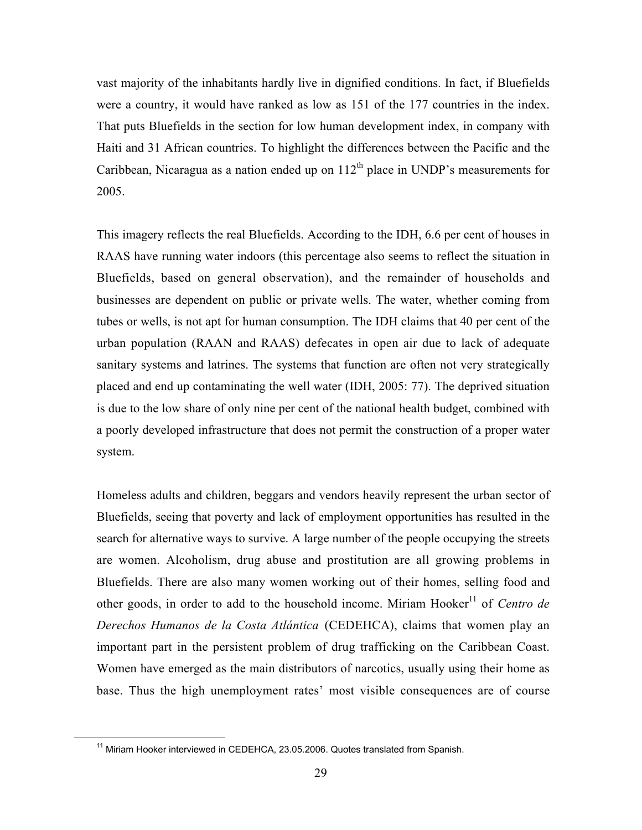vast majority of the inhabitants hardly live in dignified conditions. In fact, if Bluefields were a country, it would have ranked as low as 151 of the 177 countries in the index. That puts Bluefields in the section for low human development index, in company with Haiti and 31 African countries. To highlight the differences between the Pacific and the Caribbean, Nicaragua as a nation ended up on  $112<sup>th</sup>$  place in UNDP's measurements for 2005.

This imagery reflects the real Bluefields. According to the IDH, 6.6 per cent of houses in RAAS have running water indoors (this percentage also seems to reflect the situation in Bluefields, based on general observation), and the remainder of households and businesses are dependent on public or private wells. The water, whether coming from tubes or wells, is not apt for human consumption. The IDH claims that 40 per cent of the urban population (RAAN and RAAS) defecates in open air due to lack of adequate sanitary systems and latrines. The systems that function are often not very strategically placed and end up contaminating the well water (IDH, 2005: 77). The deprived situation is due to the low share of only nine per cent of the national health budget, combined with a poorly developed infrastructure that does not permit the construction of a proper water system.

Homeless adults and children, beggars and vendors heavily represent the urban sector of Bluefields, seeing that poverty and lack of employment opportunities has resulted in the search for alternative ways to survive. A large number of the people occupying the streets are women. Alcoholism, drug abuse and prostitution are all growing problems in Bluefields. There are also many women working out of their homes, selling food and other goods, in order to add to the household income. Miriam Hooker<sup>11</sup> of *Centro de Derechos Humanos de la Costa Atlántica* (CEDEHCA), claims that women play an important part in the persistent problem of drug trafficking on the Caribbean Coast. Women have emerged as the main distributors of narcotics, usually using their home as base. Thus the high unemployment rates' most visible consequences are of course

<sup>11</sup> Miriam Hooker interviewed in CEDEHCA, 23.05.2006. Quotes translated from Spanish.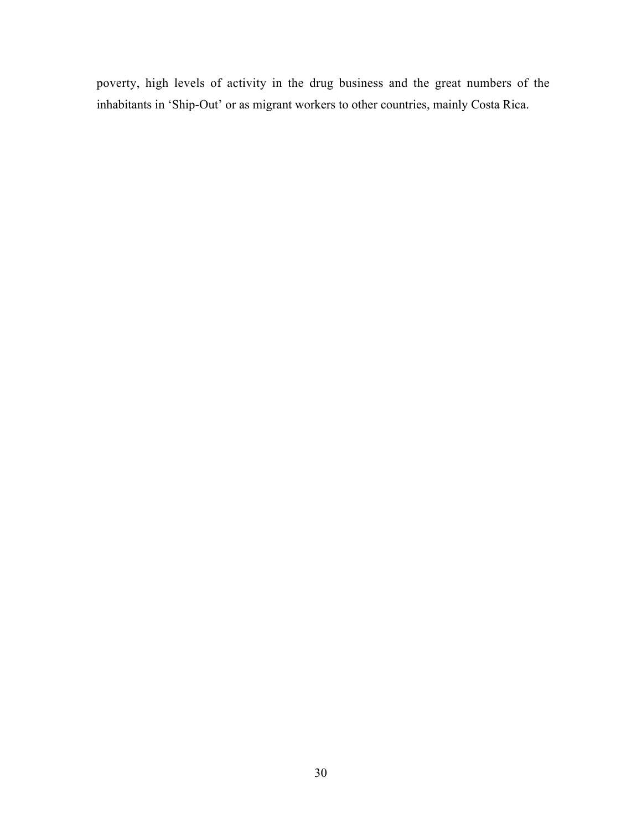poverty, high levels of activity in the drug business and the great numbers of the inhabitants in 'Ship-Out' or as migrant workers to other countries, mainly Costa Rica.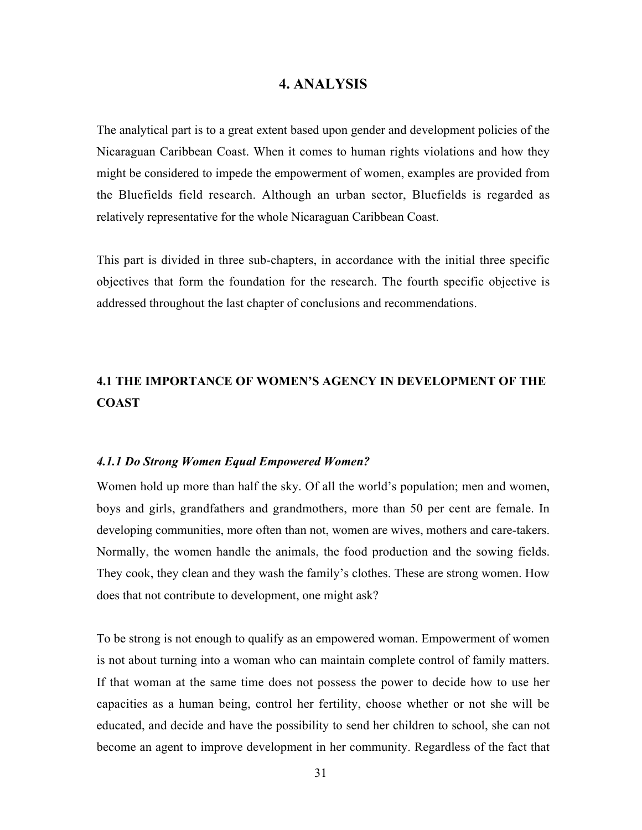## 4. ANALYSIS

The analytical part is to a great extent based upon gender and development policies of the Nicaraguan Caribbean Coast. When it comes to human rights violations and how they might be considered to impede the empowerment of women, examples are provided from the Bluefields field research. Although an urban sector, Bluefields is regarded as relatively representative for the whole Nicaraguan Caribbean Coast.

This part is divided in three sub-chapters, in accordance with the initial three specific objectives that form the foundation for the research. The fourth specific objective is addressed throughout the last chapter of conclusions and recommendations.

# 4.1 THE IMPORTANCE OF WOMEN'S AGENCY IN DEVELOPMENT OF THE **COAST**

#### *4.1.1 Do Strong Women Equal Empowered Women?*

Women hold up more than half the sky. Of all the world's population; men and women, boys and girls, grandfathers and grandmothers, more than 50 per cent are female. In developing communities, more often than not, women are wives, mothers and care-takers. Normally, the women handle the animals, the food production and the sowing fields. They cook, they clean and they wash the family's clothes. These are strong women. How does that not contribute to development, one might ask?

To be strong is not enough to qualify as an empowered woman. Empowerment of women is not about turning into a woman who can maintain complete control of family matters. If that woman at the same time does not possess the power to decide how to use her capacities as a human being, control her fertility, choose whether or not she will be educated, and decide and have the possibility to send her children to school, she can not become an agent to improve development in her community. Regardless of the fact that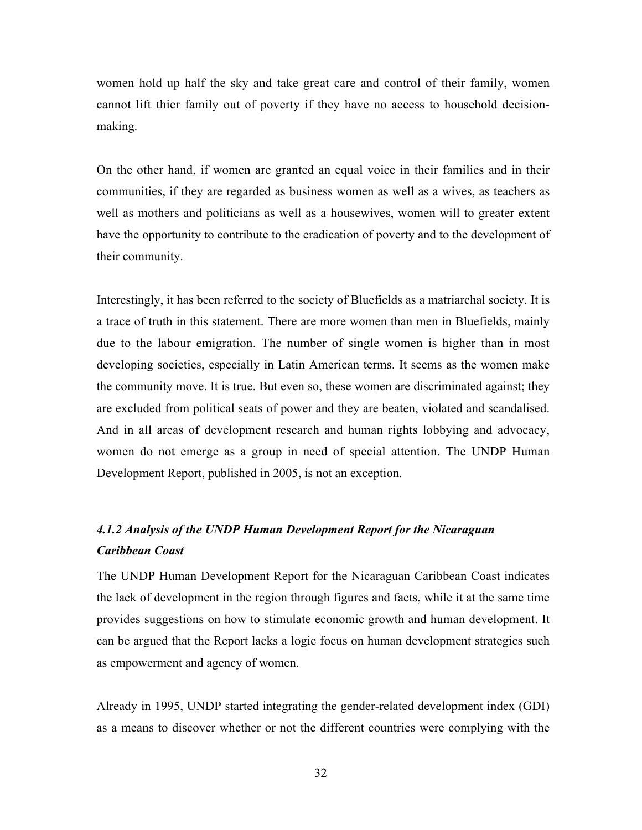women hold up half the sky and take great care and control of their family, women cannot lift thier family out of poverty if they have no access to household decisionmaking.

On the other hand, if women are granted an equal voice in their families and in their communities, if they are regarded as business women as well as a wives, as teachers as well as mothers and politicians as well as a housewives, women will to greater extent have the opportunity to contribute to the eradication of poverty and to the development of their community.

Interestingly, it has been referred to the society of Bluefields as a matriarchal society. It is a trace of truth in this statement. There are more women than men in Bluefields, mainly due to the labour emigration. The number of single women is higher than in most developing societies, especially in Latin American terms. It seems as the women make the community move. It is true. But even so, these women are discriminated against; they are excluded from political seats of power and they are beaten, violated and scandalised. And in all areas of development research and human rights lobbying and advocacy, women do not emerge as a group in need of special attention. The UNDP Human Development Report, published in 2005, is not an exception.

# *4.1.2 Analysis of the UNDP Human Development Report for the Nicaraguan Caribbean Coast*

The UNDP Human Development Report for the Nicaraguan Caribbean Coast indicates the lack of development in the region through figures and facts, while it at the same time provides suggestions on how to stimulate economic growth and human development. It can be argued that the Report lacks a logic focus on human development strategies such as empowerment and agency of women.

Already in 1995, UNDP started integrating the gender-related development index (GDI) as a means to discover whether or not the different countries were complying with the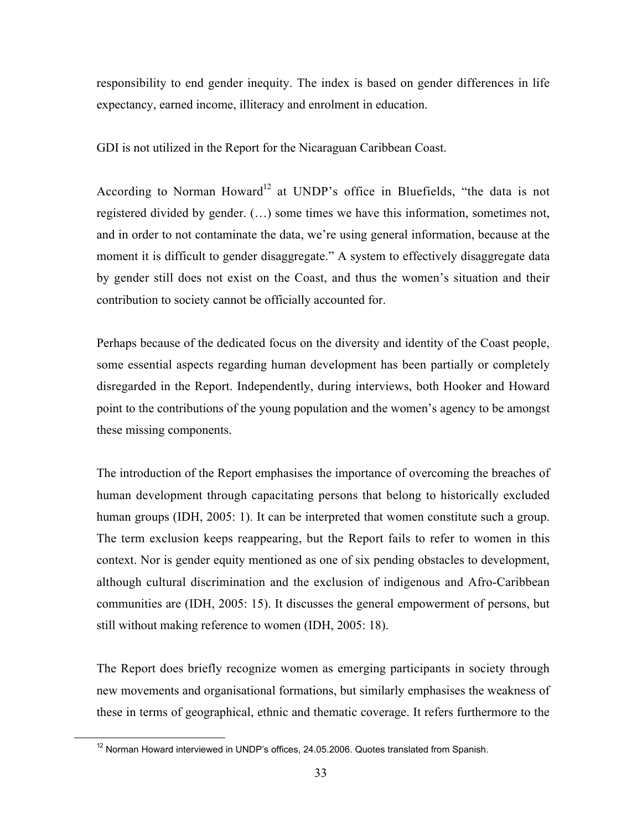responsibility to end gender inequity. The index is based on gender differences in life expectancy, earned income, illiteracy and enrolment in education.

GDI is not utilized in the Report for the Nicaraguan Caribbean Coast.

According to Norman Howard<sup>12</sup> at UNDP's office in Bluefields, "the data is not registered divided by gender. (…) some times we have this information, sometimes not, and in order to not contaminate the data, we're using general information, because at the moment it is difficult to gender disaggregate." A system to effectively disaggregate data by gender still does not exist on the Coast, and thus the women's situation and their contribution to society cannot be officially accounted for.

Perhaps because of the dedicated focus on the diversity and identity of the Coast people, some essential aspects regarding human development has been partially or completely disregarded in the Report. Independently, during interviews, both Hooker and Howard point to the contributions of the young population and the women's agency to be amongst these missing components.

The introduction of the Report emphasises the importance of overcoming the breaches of human development through capacitating persons that belong to historically excluded human groups (IDH, 2005: 1). It can be interpreted that women constitute such a group. The term exclusion keeps reappearing, but the Report fails to refer to women in this context. Nor is gender equity mentioned as one of six pending obstacles to development, although cultural discrimination and the exclusion of indigenous and Afro-Caribbean communities are (IDH, 2005: 15). It discusses the general empowerment of persons, but still without making reference to women (IDH, 2005: 18).

The Report does briefly recognize women as emerging participants in society through new movements and organisational formations, but similarly emphasises the weakness of these in terms of geographical, ethnic and thematic coverage. It refers furthermore to the

 $\overline{12}$  $12$  Norman Howard interviewed in UNDP's offices, 24.05.2006. Quotes translated from Spanish.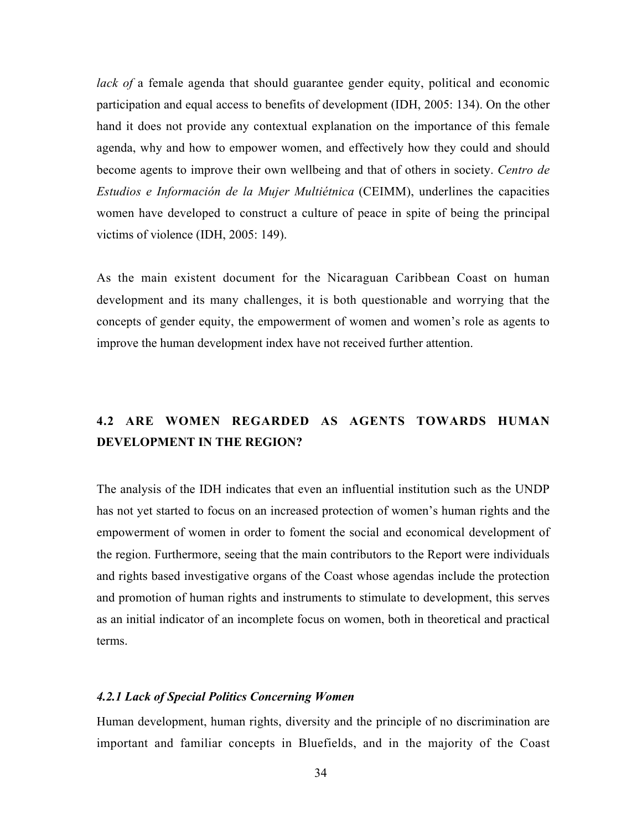*lack of* a female agenda that should guarantee gender equity, political and economic participation and equal access to benefits of development (IDH, 2005: 134). On the other hand it does not provide any contextual explanation on the importance of this female agenda, why and how to empower women, and effectively how they could and should become agents to improve their own wellbeing and that of others in society. *Centro de Estudios e Información de la Mujer Multiétnica* (CEIMM), underlines the capacities women have developed to construct a culture of peace in spite of being the principal victims of violence (IDH, 2005: 149).

As the main existent document for the Nicaraguan Caribbean Coast on human development and its many challenges, it is both questionable and worrying that the concepts of gender equity, the empowerment of women and women's role as agents to improve the human development index have not received further attention.

# 4.2 ARE WOMEN REGARDED AS AGENTS TOWARDS HUMAN DEVELOPMENT IN THE REGION?

The analysis of the IDH indicates that even an influential institution such as the UNDP has not yet started to focus on an increased protection of women's human rights and the empowerment of women in order to foment the social and economical development of the region. Furthermore, seeing that the main contributors to the Report were individuals and rights based investigative organs of the Coast whose agendas include the protection and promotion of human rights and instruments to stimulate to development, this serves as an initial indicator of an incomplete focus on women, both in theoretical and practical terms.

#### *4.2.1 Lack of Special Politics Concerning Women*

Human development, human rights, diversity and the principle of no discrimination are important and familiar concepts in Bluefields, and in the majority of the Coast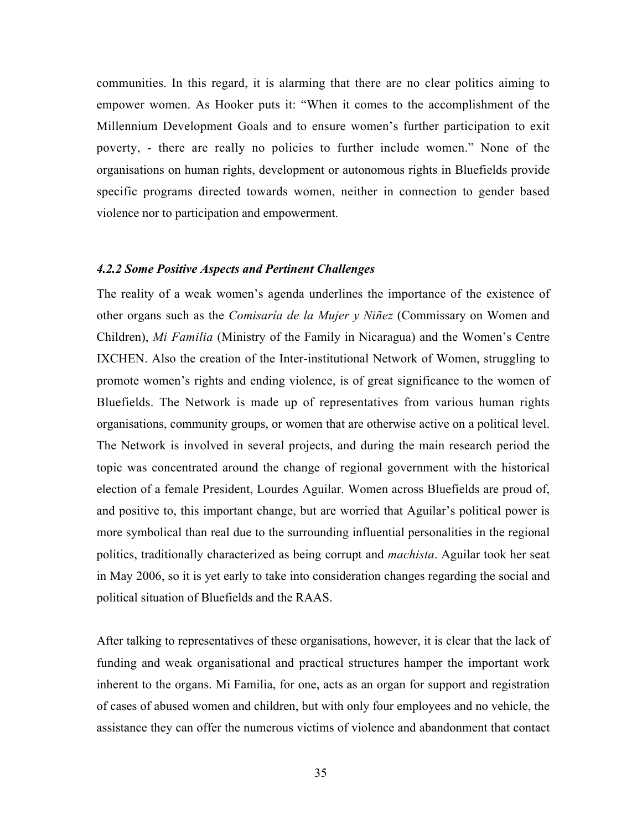communities. In this regard, it is alarming that there are no clear politics aiming to empower women. As Hooker puts it: "When it comes to the accomplishment of the Millennium Development Goals and to ensure women's further participation to exit poverty, - there are really no policies to further include women." None of the organisations on human rights, development or autonomous rights in Bluefields provide specific programs directed towards women, neither in connection to gender based violence nor to participation and empowerment.

#### *4.2.2 Some Positive Aspects and Pertinent Challenges*

The reality of a weak women's agenda underlines the importance of the existence of other organs such as the *Comisaría de la Mujer y Niñez* (Commissary on Women and Children), *Mi Familia* (Ministry of the Family in Nicaragua) and the Women's Centre IXCHEN. Also the creation of the Inter-institutional Network of Women, struggling to promote women's rights and ending violence, is of great significance to the women of Bluefields. The Network is made up of representatives from various human rights organisations, community groups, or women that are otherwise active on a political level. The Network is involved in several projects, and during the main research period the topic was concentrated around the change of regional government with the historical election of a female President, Lourdes Aguilar. Women across Bluefields are proud of, and positive to, this important change, but are worried that Aguilar's political power is more symbolical than real due to the surrounding influential personalities in the regional politics, traditionally characterized as being corrupt and *machista*. Aguilar took her seat in May 2006, so it is yet early to take into consideration changes regarding the social and political situation of Bluefields and the RAAS.

After talking to representatives of these organisations, however, it is clear that the lack of funding and weak organisational and practical structures hamper the important work inherent to the organs. Mi Familia, for one, acts as an organ for support and registration of cases of abused women and children, but with only four employees and no vehicle, the assistance they can offer the numerous victims of violence and abandonment that contact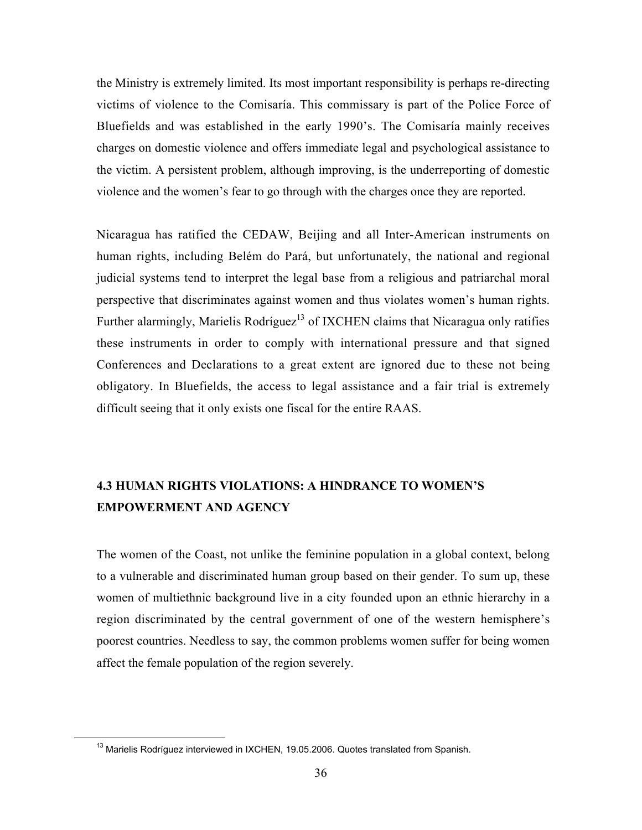the Ministry is extremely limited. Its most important responsibility is perhaps re-directing victims of violence to the Comisaría. This commissary is part of the Police Force of Bluefields and was established in the early 1990's. The Comisaría mainly receives charges on domestic violence and offers immediate legal and psychological assistance to the victim. A persistent problem, although improving, is the underreporting of domestic violence and the women's fear to go through with the charges once they are reported.

Nicaragua has ratified the CEDAW, Beijing and all Inter-American instruments on human rights, including Belém do Pará, but unfortunately, the national and regional judicial systems tend to interpret the legal base from a religious and patriarchal moral perspective that discriminates against women and thus violates women's human rights. Further alarmingly, Marielis Rodríguez<sup>13</sup> of IXCHEN claims that Nicaragua only ratifies these instruments in order to comply with international pressure and that signed Conferences and Declarations to a great extent are ignored due to these not being obligatory. In Bluefields, the access to legal assistance and a fair trial is extremely difficult seeing that it only exists one fiscal for the entire RAAS.

# 4.3 HUMAN RIGHTS VIOLATIONS: A HINDRANCE TO WOMEN'S EMPOWERMENT AND AGENCY

The women of the Coast, not unlike the feminine population in a global context, belong to a vulnerable and discriminated human group based on their gender. To sum up, these women of multiethnic background live in a city founded upon an ethnic hierarchy in a region discriminated by the central government of one of the western hemisphere's poorest countries. Needless to say, the common problems women suffer for being women affect the female population of the region severely.

<sup>13</sup> Marielis Rodríguez interviewed in IXCHEN, 19.05.2006. Quotes translated from Spanish.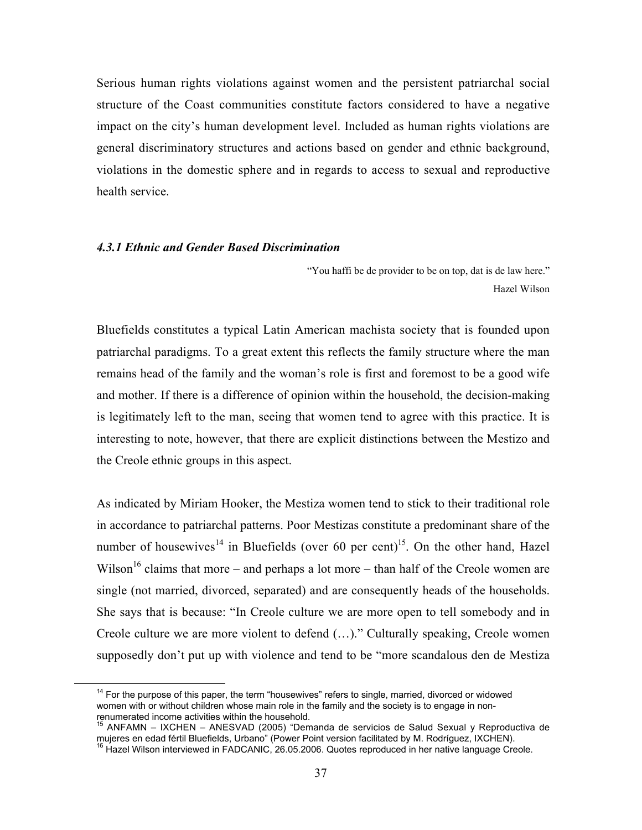Serious human rights violations against women and the persistent patriarchal social structure of the Coast communities constitute factors considered to have a negative impact on the city's human development level. Included as human rights violations are general discriminatory structures and actions based on gender and ethnic background, violations in the domestic sphere and in regards to access to sexual and reproductive health service.

#### *4.3.1 Ethnic and Gender Based Discrimination*

 "You haffi be de provider to be on top, dat is de law here." Hazel Wilson

Bluefields constitutes a typical Latin American machista society that is founded upon patriarchal paradigms. To a great extent this reflects the family structure where the man remains head of the family and the woman's role is first and foremost to be a good wife and mother. If there is a difference of opinion within the household, the decision-making is legitimately left to the man, seeing that women tend to agree with this practice. It is interesting to note, however, that there are explicit distinctions between the Mestizo and the Creole ethnic groups in this aspect.

As indicated by Miriam Hooker, the Mestiza women tend to stick to their traditional role in accordance to patriarchal patterns. Poor Mestizas constitute a predominant share of the number of housewives<sup>14</sup> in Bluefields (over 60 per cent)<sup>15</sup>. On the other hand, Hazel Wilson<sup>16</sup> claims that more – and perhaps a lot more – than half of the Creole women are single (not married, divorced, separated) and are consequently heads of the households. She says that is because: "In Creole culture we are more open to tell somebody and in Creole culture we are more violent to defend (…)." Culturally speaking, Creole women supposedly don't put up with violence and tend to be "more scandalous den de Mestiza

The 14 For the purpose of this paper, the term "housewives" refers to single, married, divorced or widowed women with or without children whose main role in the family and the society is to engage in nonrenumerated income activities within the household.

<sup>&</sup>lt;sup>15</sup> ANFAMN – IXCHEN – ANESVAD (2005) "Demanda de servicios de Salud Sexual y Reproductiva de mujeres en edad fértil Bluefields, Urbano" (Power Point version facilitated by M. Rodríguez, IXCHEN).<br><sup>16</sup> Hazel Wilson interviewed in FADCANIC, 26.05.2006. Quotes reproduced in her native language Creole.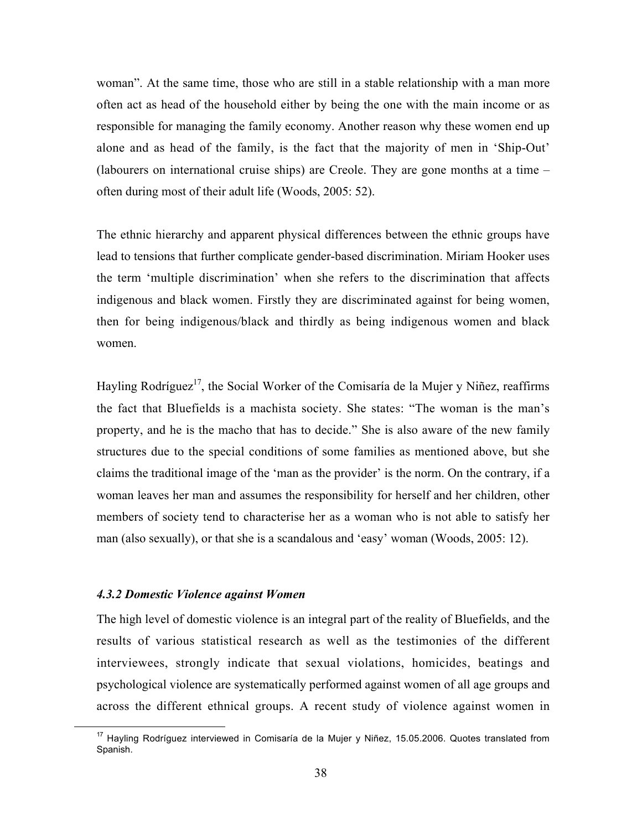woman". At the same time, those who are still in a stable relationship with a man more often act as head of the household either by being the one with the main income or as responsible for managing the family economy. Another reason why these women end up alone and as head of the family, is the fact that the majority of men in 'Ship-Out' (labourers on international cruise ships) are Creole. They are gone months at a time – often during most of their adult life (Woods, 2005: 52).

The ethnic hierarchy and apparent physical differences between the ethnic groups have lead to tensions that further complicate gender-based discrimination. Miriam Hooker uses the term 'multiple discrimination' when she refers to the discrimination that affects indigenous and black women. Firstly they are discriminated against for being women, then for being indigenous/black and thirdly as being indigenous women and black women.

Hayling Rodríguez<sup>17</sup>, the Social Worker of the Comisaría de la Mujer y Niñez, reaffirms the fact that Bluefields is a machista society. She states: "The woman is the man's property, and he is the macho that has to decide." She is also aware of the new family structures due to the special conditions of some families as mentioned above, but she claims the traditional image of the 'man as the provider' is the norm. On the contrary, if a woman leaves her man and assumes the responsibility for herself and her children, other members of society tend to characterise her as a woman who is not able to satisfy her man (also sexually), or that she is a scandalous and 'easy' woman (Woods, 2005: 12).

#### *4.3.2 Domestic Violence against Women*

The high level of domestic violence is an integral part of the reality of Bluefields, and the results of various statistical research as well as the testimonies of the different interviewees, strongly indicate that sexual violations, homicides, beatings and psychological violence are systematically performed against women of all age groups and across the different ethnical groups. A recent study of violence against women in

<sup>&</sup>lt;sup>17</sup> Hayling Rodríguez interviewed in Comisaría de la Mujer y Niñez, 15.05.2006. Quotes translated from Spanish.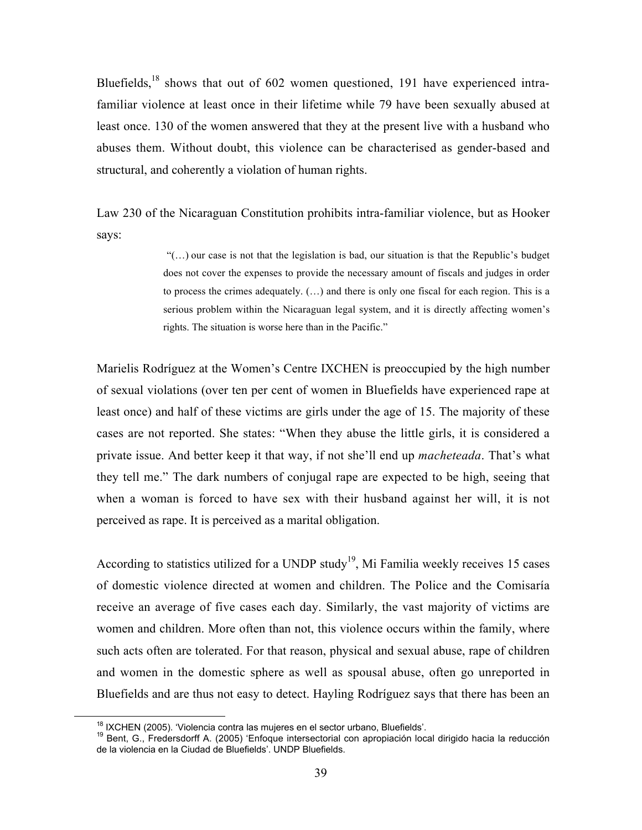Bluefields, $18$  shows that out of 602 women questioned, 191 have experienced intrafamiliar violence at least once in their lifetime while 79 have been sexually abused at least once. 130 of the women answered that they at the present live with a husband who abuses them. Without doubt, this violence can be characterised as gender-based and structural, and coherently a violation of human rights.

Law 230 of the Nicaraguan Constitution prohibits intra-familiar violence, but as Hooker says:

> "(…) our case is not that the legislation is bad, our situation is that the Republic's budget does not cover the expenses to provide the necessary amount of fiscals and judges in order to process the crimes adequately.  $(...)$  and there is only one fiscal for each region. This is a serious problem within the Nicaraguan legal system, and it is directly affecting women's rights. The situation is worse here than in the Pacific."

Marielis Rodríguez at the Women's Centre IXCHEN is preoccupied by the high number of sexual violations (over ten per cent of women in Bluefields have experienced rape at least once) and half of these victims are girls under the age of 15. The majority of these cases are not reported. She states: "When they abuse the little girls, it is considered a private issue. And better keep it that way, if not she'll end up *macheteada*. That's what they tell me." The dark numbers of conjugal rape are expected to be high, seeing that when a woman is forced to have sex with their husband against her will, it is not perceived as rape. It is perceived as a marital obligation.

According to statistics utilized for a UNDP study<sup>19</sup>, Mi Familia weekly receives 15 cases of domestic violence directed at women and children. The Police and the Comisaría receive an average of five cases each day. Similarly, the vast majority of victims are women and children. More often than not, this violence occurs within the family, where such acts often are tolerated. For that reason, physical and sexual abuse, rape of children and women in the domestic sphere as well as spousal abuse, often go unreported in Bluefields and are thus not easy to detect. Hayling Rodríguez says that there has been an

<sup>18</sup>

<sup>&</sup>lt;sup>18</sup> IXCHEN (2005). 'Violencia contra las mujeres en el sector urbano, Bluefields'.<br><sup>19</sup> Bent, G., Fredersdorff A. (2005) 'Enfoque intersectorial con apropiación local dirigido hacia la reducción de la violencia en la Ciudad de Bluefields'. UNDP Bluefields.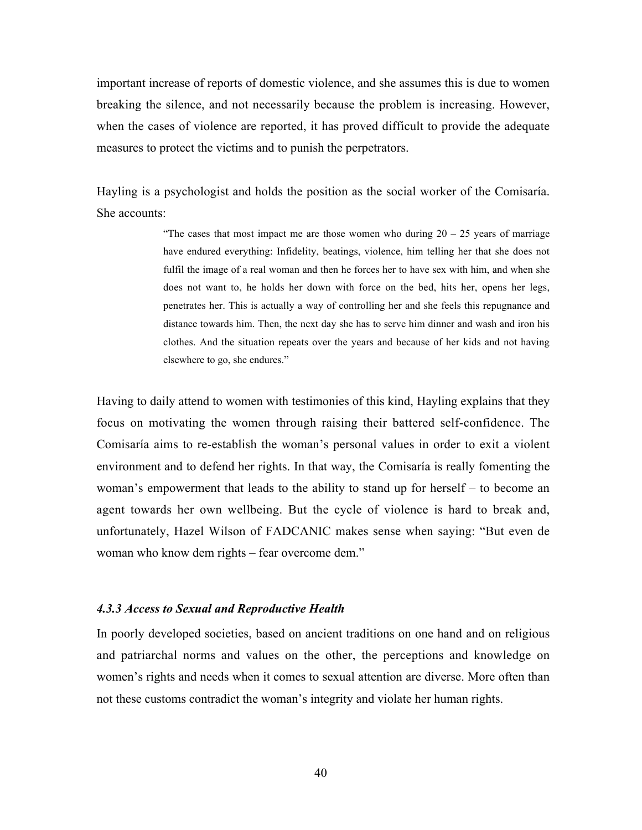important increase of reports of domestic violence, and she assumes this is due to women breaking the silence, and not necessarily because the problem is increasing. However, when the cases of violence are reported, it has proved difficult to provide the adequate measures to protect the victims and to punish the perpetrators.

Hayling is a psychologist and holds the position as the social worker of the Comisaría. She accounts:

> "The cases that most impact me are those women who during  $20 - 25$  years of marriage have endured everything: Infidelity, beatings, violence, him telling her that she does not fulfil the image of a real woman and then he forces her to have sex with him, and when she does not want to, he holds her down with force on the bed, hits her, opens her legs, penetrates her. This is actually a way of controlling her and she feels this repugnance and distance towards him. Then, the next day she has to serve him dinner and wash and iron his clothes. And the situation repeats over the years and because of her kids and not having elsewhere to go, she endures."

Having to daily attend to women with testimonies of this kind, Hayling explains that they focus on motivating the women through raising their battered self-confidence. The Comisaría aims to re-establish the woman's personal values in order to exit a violent environment and to defend her rights. In that way, the Comisaría is really fomenting the woman's empowerment that leads to the ability to stand up for herself – to become an agent towards her own wellbeing. But the cycle of violence is hard to break and, unfortunately, Hazel Wilson of FADCANIC makes sense when saying: "But even de woman who know dem rights – fear overcome dem."

#### *4.3.3 Access to Sexual and Reproductive Health*

In poorly developed societies, based on ancient traditions on one hand and on religious and patriarchal norms and values on the other, the perceptions and knowledge on women's rights and needs when it comes to sexual attention are diverse. More often than not these customs contradict the woman's integrity and violate her human rights.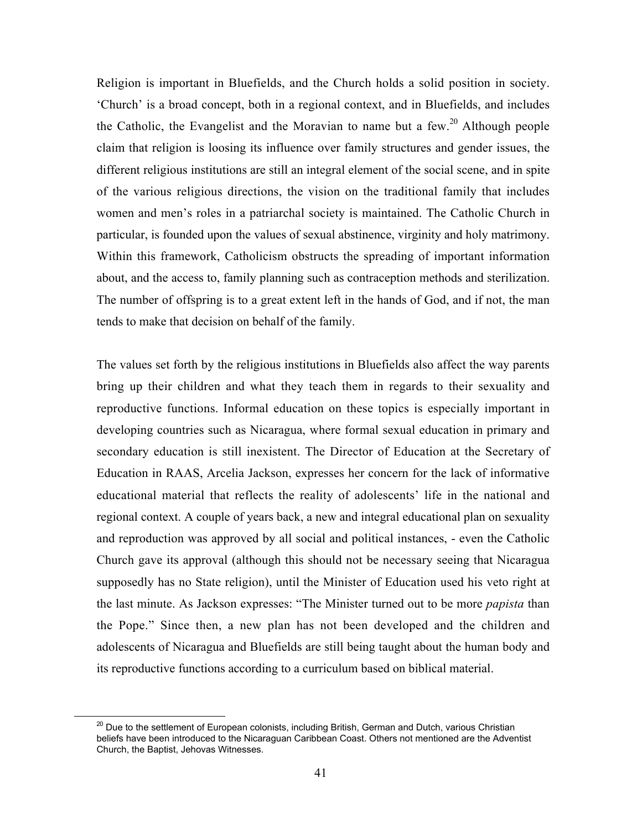Religion is important in Bluefields, and the Church holds a solid position in society. 'Church' is a broad concept, both in a regional context, and in Bluefields, and includes the Catholic, the Evangelist and the Moravian to name but a few.<sup>20</sup> Although people claim that religion is loosing its influence over family structures and gender issues, the different religious institutions are still an integral element of the social scene, and in spite of the various religious directions, the vision on the traditional family that includes women and men's roles in a patriarchal society is maintained. The Catholic Church in particular, is founded upon the values of sexual abstinence, virginity and holy matrimony. Within this framework, Catholicism obstructs the spreading of important information about, and the access to, family planning such as contraception methods and sterilization. The number of offspring is to a great extent left in the hands of God, and if not, the man tends to make that decision on behalf of the family.

The values set forth by the religious institutions in Bluefields also affect the way parents bring up their children and what they teach them in regards to their sexuality and reproductive functions. Informal education on these topics is especially important in developing countries such as Nicaragua, where formal sexual education in primary and secondary education is still inexistent. The Director of Education at the Secretary of Education in RAAS, Arcelia Jackson, expresses her concern for the lack of informative educational material that reflects the reality of adolescents' life in the national and regional context. A couple of years back, a new and integral educational plan on sexuality and reproduction was approved by all social and political instances, - even the Catholic Church gave its approval (although this should not be necessary seeing that Nicaragua supposedly has no State religion), until the Minister of Education used his veto right at the last minute. As Jackson expresses: "The Minister turned out to be more *papista* than the Pope." Since then, a new plan has not been developed and the children and adolescents of Nicaragua and Bluefields are still being taught about the human body and its reproductive functions according to a curriculum based on biblical material.

**<sup>20</sup>**<br><sup>20</sup> Due to the settlement of European colonists, including British, German and Dutch, various Christian beliefs have been introduced to the Nicaraguan Caribbean Coast. Others not mentioned are the Adventist Church, the Baptist, Jehovas Witnesses.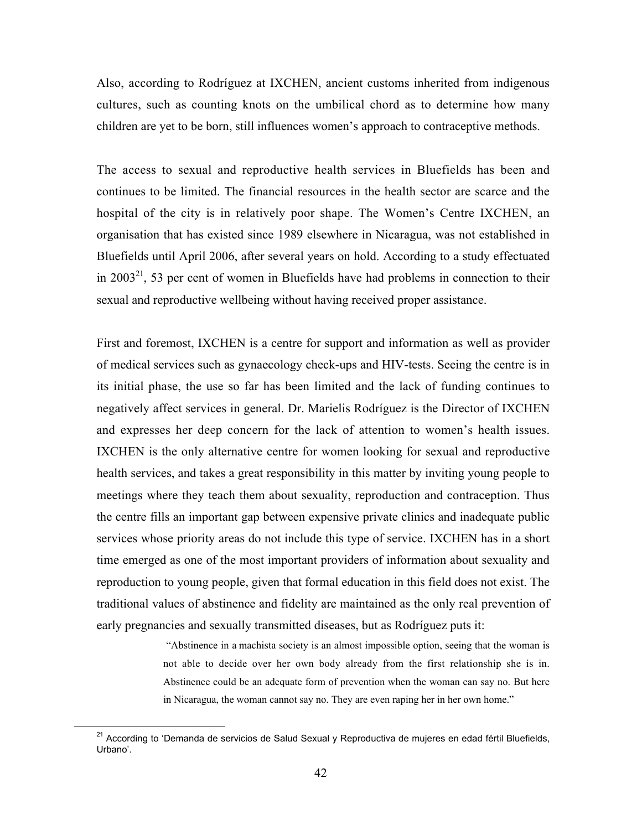Also, according to Rodríguez at IXCHEN, ancient customs inherited from indigenous cultures, such as counting knots on the umbilical chord as to determine how many children are yet to be born, still influences women's approach to contraceptive methods.

The access to sexual and reproductive health services in Bluefields has been and continues to be limited. The financial resources in the health sector are scarce and the hospital of the city is in relatively poor shape. The Women's Centre IXCHEN, an organisation that has existed since 1989 elsewhere in Nicaragua, was not established in Bluefields until April 2006, after several years on hold. According to a study effectuated in  $2003<sup>21</sup>$ , 53 per cent of women in Bluefields have had problems in connection to their sexual and reproductive wellbeing without having received proper assistance.

First and foremost, IXCHEN is a centre for support and information as well as provider of medical services such as gynaecology check-ups and HIV-tests. Seeing the centre is in its initial phase, the use so far has been limited and the lack of funding continues to negatively affect services in general. Dr. Marielis Rodríguez is the Director of IXCHEN and expresses her deep concern for the lack of attention to women's health issues. IXCHEN is the only alternative centre for women looking for sexual and reproductive health services, and takes a great responsibility in this matter by inviting young people to meetings where they teach them about sexuality, reproduction and contraception. Thus the centre fills an important gap between expensive private clinics and inadequate public services whose priority areas do not include this type of service. IXCHEN has in a short time emerged as one of the most important providers of information about sexuality and reproduction to young people, given that formal education in this field does not exist. The traditional values of abstinence and fidelity are maintained as the only real prevention of early pregnancies and sexually transmitted diseases, but as Rodríguez puts it:

> "Abstinence in a machista society is an almost impossible option, seeing that the woman is not able to decide over her own body already from the first relationship she is in. Abstinence could be an adequate form of prevention when the woman can say no. But here in Nicaragua, the woman cannot say no. They are even raping her in her own home."

<sup>&</sup>lt;sup>21</sup> According to 'Demanda de servicios de Salud Sexual y Reproductiva de mujeres en edad fértil Bluefields, Urbano'.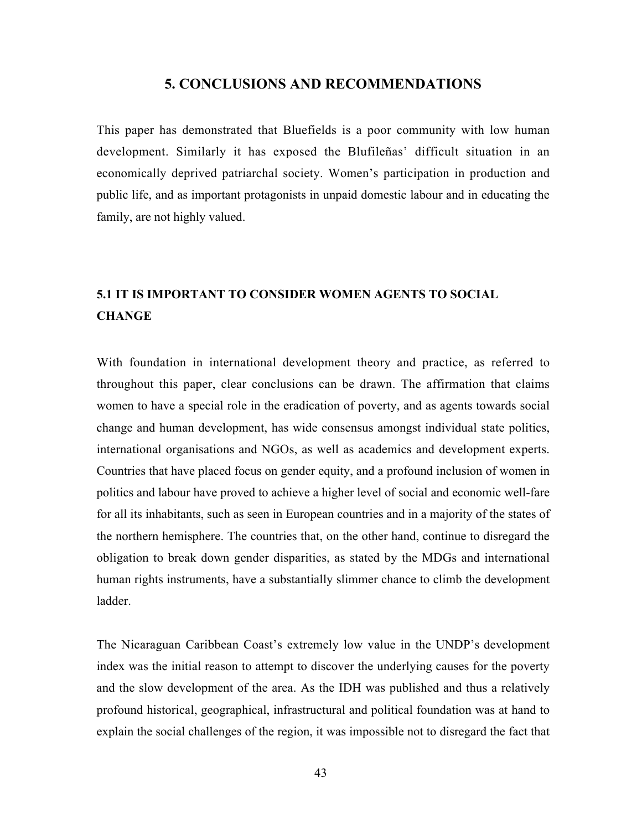#### 5. CONCLUSIONS AND RECOMMENDATIONS

This paper has demonstrated that Bluefields is a poor community with low human development. Similarly it has exposed the Blufileñas' difficult situation in an economically deprived patriarchal society. Women's participation in production and public life, and as important protagonists in unpaid domestic labour and in educating the family, are not highly valued.

# 5.1 IT IS IMPORTANT TO CONSIDER WOMEN AGENTS TO SOCIAL **CHANGE**

With foundation in international development theory and practice, as referred to throughout this paper, clear conclusions can be drawn. The affirmation that claims women to have a special role in the eradication of poverty, and as agents towards social change and human development, has wide consensus amongst individual state politics, international organisations and NGOs, as well as academics and development experts. Countries that have placed focus on gender equity, and a profound inclusion of women in politics and labour have proved to achieve a higher level of social and economic well-fare for all its inhabitants, such as seen in European countries and in a majority of the states of the northern hemisphere. The countries that, on the other hand, continue to disregard the obligation to break down gender disparities, as stated by the MDGs and international human rights instruments, have a substantially slimmer chance to climb the development ladder.

The Nicaraguan Caribbean Coast's extremely low value in the UNDP's development index was the initial reason to attempt to discover the underlying causes for the poverty and the slow development of the area. As the IDH was published and thus a relatively profound historical, geographical, infrastructural and political foundation was at hand to explain the social challenges of the region, it was impossible not to disregard the fact that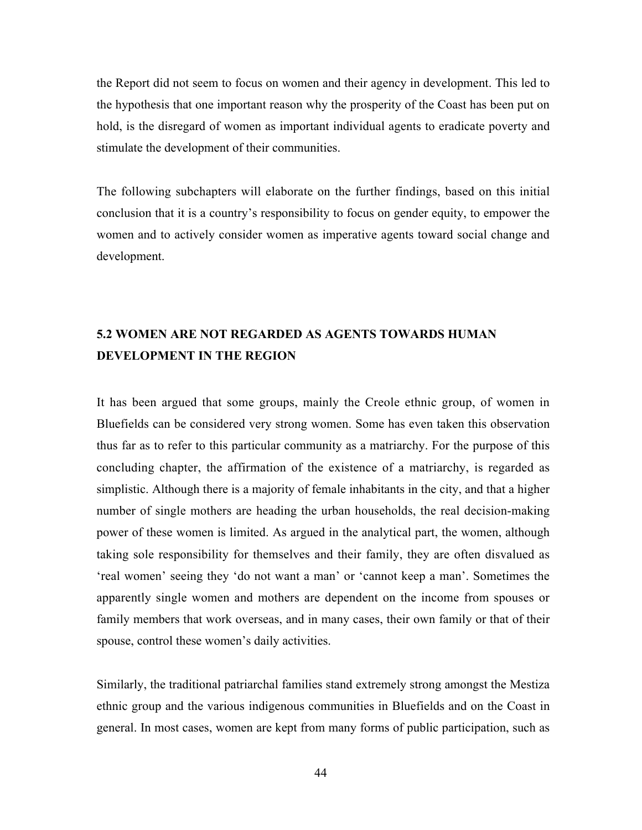the Report did not seem to focus on women and their agency in development. This led to the hypothesis that one important reason why the prosperity of the Coast has been put on hold, is the disregard of women as important individual agents to eradicate poverty and stimulate the development of their communities.

The following subchapters will elaborate on the further findings, based on this initial conclusion that it is a country's responsibility to focus on gender equity, to empower the women and to actively consider women as imperative agents toward social change and development.

# 5.2 WOMEN ARE NOT REGARDED AS AGENTS TOWARDS HUMAN DEVELOPMENT IN THE REGION

It has been argued that some groups, mainly the Creole ethnic group, of women in Bluefields can be considered very strong women. Some has even taken this observation thus far as to refer to this particular community as a matriarchy. For the purpose of this concluding chapter, the affirmation of the existence of a matriarchy, is regarded as simplistic. Although there is a majority of female inhabitants in the city, and that a higher number of single mothers are heading the urban households, the real decision-making power of these women is limited. As argued in the analytical part, the women, although taking sole responsibility for themselves and their family, they are often disvalued as 'real women' seeing they 'do not want a man' or 'cannot keep a man'. Sometimes the apparently single women and mothers are dependent on the income from spouses or family members that work overseas, and in many cases, their own family or that of their spouse, control these women's daily activities.

Similarly, the traditional patriarchal families stand extremely strong amongst the Mestiza ethnic group and the various indigenous communities in Bluefields and on the Coast in general. In most cases, women are kept from many forms of public participation, such as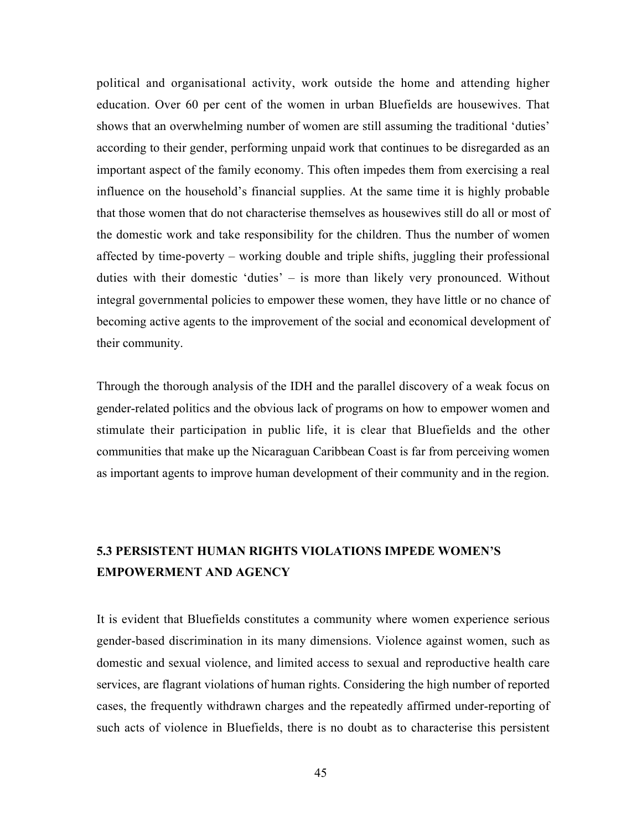political and organisational activity, work outside the home and attending higher education. Over 60 per cent of the women in urban Bluefields are housewives. That shows that an overwhelming number of women are still assuming the traditional 'duties' according to their gender, performing unpaid work that continues to be disregarded as an important aspect of the family economy. This often impedes them from exercising a real influence on the household's financial supplies. At the same time it is highly probable that those women that do not characterise themselves as housewives still do all or most of the domestic work and take responsibility for the children. Thus the number of women affected by time-poverty – working double and triple shifts, juggling their professional duties with their domestic 'duties' – is more than likely very pronounced. Without integral governmental policies to empower these women, they have little or no chance of becoming active agents to the improvement of the social and economical development of their community.

Through the thorough analysis of the IDH and the parallel discovery of a weak focus on gender-related politics and the obvious lack of programs on how to empower women and stimulate their participation in public life, it is clear that Bluefields and the other communities that make up the Nicaraguan Caribbean Coast is far from perceiving women as important agents to improve human development of their community and in the region.

# 5.3 PERSISTENT HUMAN RIGHTS VIOLATIONS IMPEDE WOMEN'S EMPOWERMENT AND AGENCY

It is evident that Bluefields constitutes a community where women experience serious gender-based discrimination in its many dimensions. Violence against women, such as domestic and sexual violence, and limited access to sexual and reproductive health care services, are flagrant violations of human rights. Considering the high number of reported cases, the frequently withdrawn charges and the repeatedly affirmed under-reporting of such acts of violence in Bluefields, there is no doubt as to characterise this persistent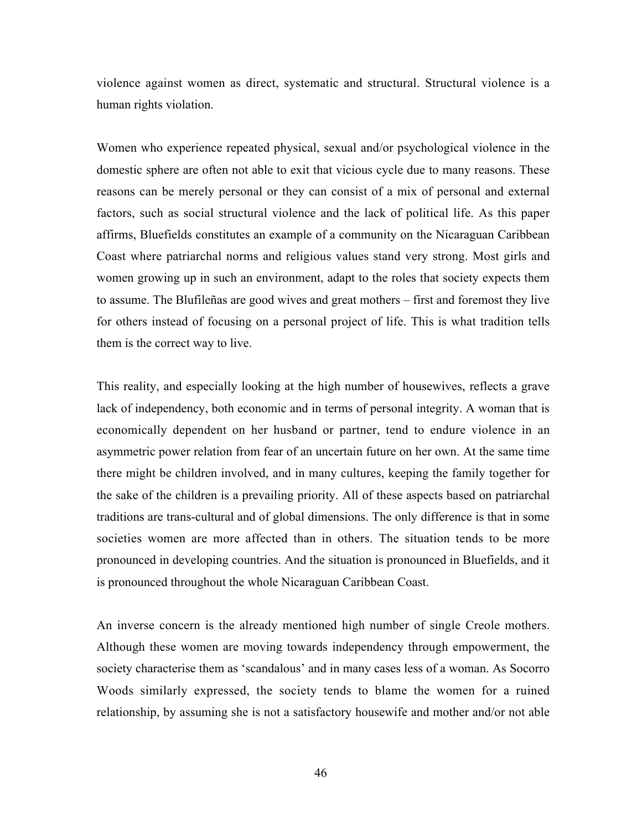violence against women as direct, systematic and structural. Structural violence is a human rights violation.

Women who experience repeated physical, sexual and/or psychological violence in the domestic sphere are often not able to exit that vicious cycle due to many reasons. These reasons can be merely personal or they can consist of a mix of personal and external factors, such as social structural violence and the lack of political life. As this paper affirms, Bluefields constitutes an example of a community on the Nicaraguan Caribbean Coast where patriarchal norms and religious values stand very strong. Most girls and women growing up in such an environment, adapt to the roles that society expects them to assume. The Blufileñas are good wives and great mothers – first and foremost they live for others instead of focusing on a personal project of life. This is what tradition tells them is the correct way to live.

This reality, and especially looking at the high number of housewives, reflects a grave lack of independency, both economic and in terms of personal integrity. A woman that is economically dependent on her husband or partner, tend to endure violence in an asymmetric power relation from fear of an uncertain future on her own. At the same time there might be children involved, and in many cultures, keeping the family together for the sake of the children is a prevailing priority. All of these aspects based on patriarchal traditions are trans-cultural and of global dimensions. The only difference is that in some societies women are more affected than in others. The situation tends to be more pronounced in developing countries. And the situation is pronounced in Bluefields, and it is pronounced throughout the whole Nicaraguan Caribbean Coast.

An inverse concern is the already mentioned high number of single Creole mothers. Although these women are moving towards independency through empowerment, the society characterise them as 'scandalous' and in many cases less of a woman. As Socorro Woods similarly expressed, the society tends to blame the women for a ruined relationship, by assuming she is not a satisfactory housewife and mother and/or not able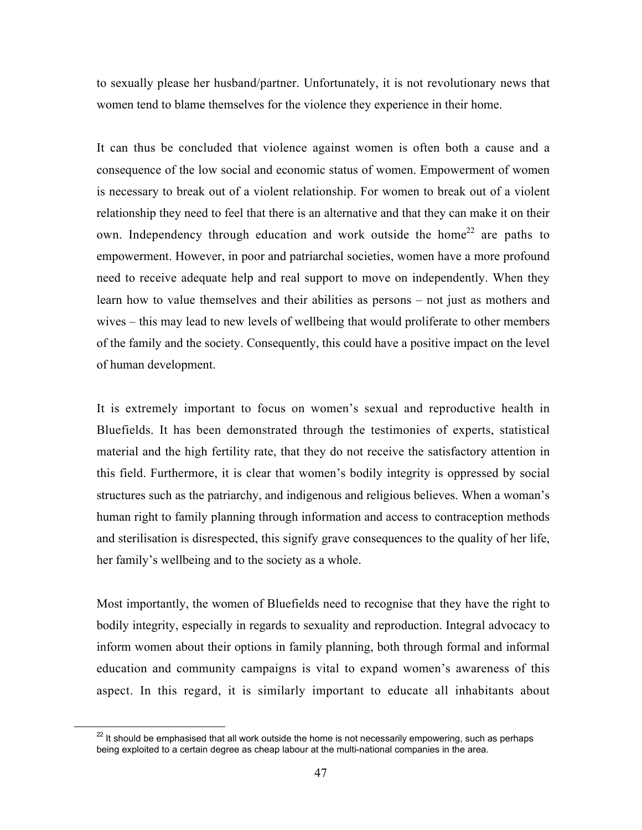to sexually please her husband/partner. Unfortunately, it is not revolutionary news that women tend to blame themselves for the violence they experience in their home.

It can thus be concluded that violence against women is often both a cause and a consequence of the low social and economic status of women. Empowerment of women is necessary to break out of a violent relationship. For women to break out of a violent relationship they need to feel that there is an alternative and that they can make it on their own. Independency through education and work outside the home<sup>22</sup> are paths to empowerment. However, in poor and patriarchal societies, women have a more profound need to receive adequate help and real support to move on independently. When they learn how to value themselves and their abilities as persons – not just as mothers and wives – this may lead to new levels of wellbeing that would proliferate to other members of the family and the society. Consequently, this could have a positive impact on the level of human development.

It is extremely important to focus on women's sexual and reproductive health in Bluefields. It has been demonstrated through the testimonies of experts, statistical material and the high fertility rate, that they do not receive the satisfactory attention in this field. Furthermore, it is clear that women's bodily integrity is oppressed by social structures such as the patriarchy, and indigenous and religious believes. When a woman's human right to family planning through information and access to contraception methods and sterilisation is disrespected, this signify grave consequences to the quality of her life, her family's wellbeing and to the society as a whole.

Most importantly, the women of Bluefields need to recognise that they have the right to bodily integrity, especially in regards to sexuality and reproduction. Integral advocacy to inform women about their options in family planning, both through formal and informal education and community campaigns is vital to expand women's awareness of this aspect. In this regard, it is similarly important to educate all inhabitants about

**<sup>22</sup>** It should be emphasised that all work outside the home is not necessarily empowering, such as perhaps being exploited to a certain degree as cheap labour at the multi-national companies in the area.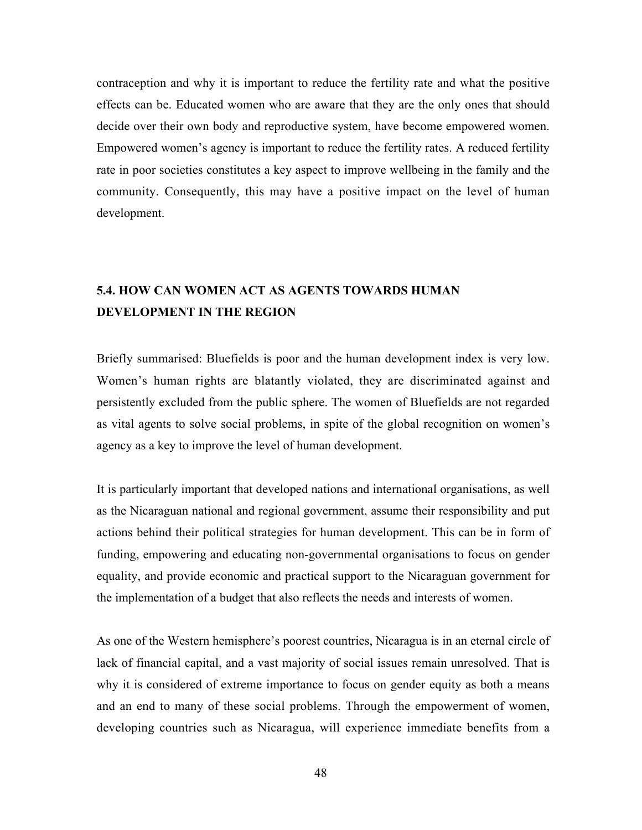contraception and why it is important to reduce the fertility rate and what the positive effects can be. Educated women who are aware that they are the only ones that should decide over their own body and reproductive system, have become empowered women. Empowered women's agency is important to reduce the fertility rates. A reduced fertility rate in poor societies constitutes a key aspect to improve wellbeing in the family and the community. Consequently, this may have a positive impact on the level of human development.

## 5.4. HOW CAN WOMEN ACT AS AGENTS TOWARDS HUMAN DEVELOPMENT IN THE REGION

Briefly summarised: Bluefields is poor and the human development index is very low. Women's human rights are blatantly violated, they are discriminated against and persistently excluded from the public sphere. The women of Bluefields are not regarded as vital agents to solve social problems, in spite of the global recognition on women's agency as a key to improve the level of human development.

It is particularly important that developed nations and international organisations, as well as the Nicaraguan national and regional government, assume their responsibility and put actions behind their political strategies for human development. This can be in form of funding, empowering and educating non-governmental organisations to focus on gender equality, and provide economic and practical support to the Nicaraguan government for the implementation of a budget that also reflects the needs and interests of women.

As one of the Western hemisphere's poorest countries, Nicaragua is in an eternal circle of lack of financial capital, and a vast majority of social issues remain unresolved. That is why it is considered of extreme importance to focus on gender equity as both a means and an end to many of these social problems. Through the empowerment of women, developing countries such as Nicaragua, will experience immediate benefits from a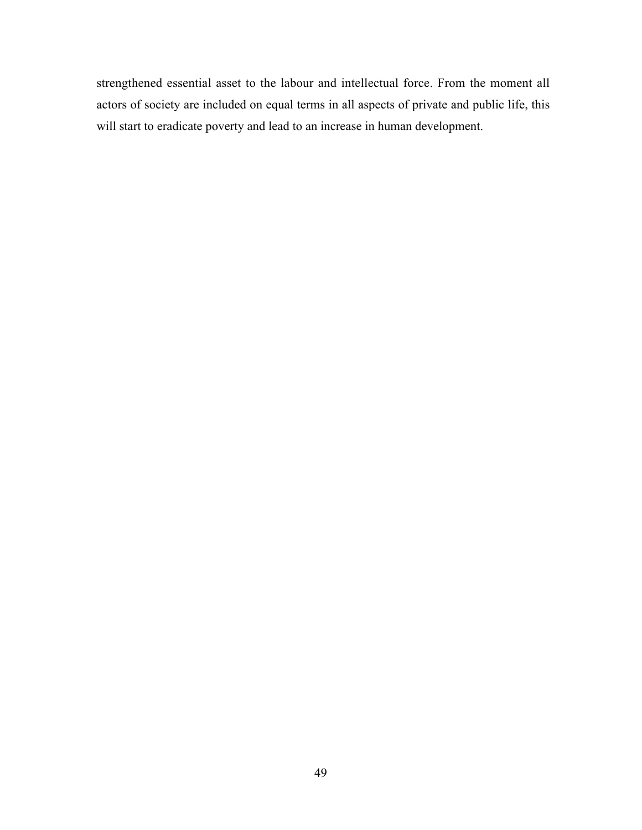strengthened essential asset to the labour and intellectual force. From the moment all actors of society are included on equal terms in all aspects of private and public life, this will start to eradicate poverty and lead to an increase in human development.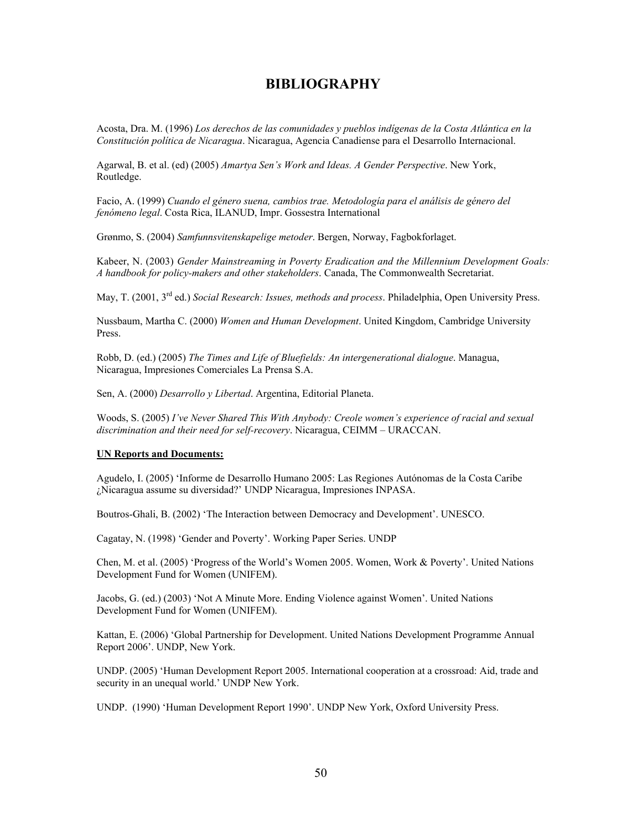## BIBLIOGRAPHY

Acosta, Dra. M. (1996) *Los derechos de las comunidades y pueblos indígenas de la Costa Atlántica en la Constitución política de Nicaragua*. Nicaragua, Agencia Canadiense para el Desarrollo Internacional.

Agarwal, B. et al. (ed) (2005) *Amartya Sen's Work and Ideas. A Gender Perspective*. New York, Routledge.

Facio, A. (1999) *Cuando el género suena, cambios trae. Metodología para el análisis de género del fenómeno legal*. Costa Rica, ILANUD, Impr. Gossestra International

Grønmo, S. (2004) *Samfunnsvitenskapelige metoder*. Bergen, Norway, Fagbokforlaget.

Kabeer, N. (2003) *Gender Mainstreaming in Poverty Eradication and the Millennium Development Goals: A handbook for policy-makers and other stakeholders*. Canada, The Commonwealth Secretariat.

May, T. (2001, 3rd ed.) *Social Research: Issues, methods and process*. Philadelphia, Open University Press.

Nussbaum, Martha C. (2000) *Women and Human Development*. United Kingdom, Cambridge University Press.

Robb, D. (ed.) (2005) *The Times and Life of Bluefields: An intergenerational dialogue*. Managua, Nicaragua, Impresiones Comerciales La Prensa S.A.

Sen, A. (2000) *Desarrollo y Libertad*. Argentina, Editorial Planeta.

Woods, S. (2005) *I've Never Shared This With Anybody: Creole women's experience of racial and sexual discrimination and their need for self-recovery*. Nicaragua, CEIMM – URACCAN.

#### UN Reports and Documents:

Agudelo, I. (2005) 'Informe de Desarrollo Humano 2005: Las Regiones Autónomas de la Costa Caribe ¿Nicaragua assume su diversidad?' UNDP Nicaragua, Impresiones INPASA.

Boutros-Ghali, B. (2002) 'The Interaction between Democracy and Development'. UNESCO.

Cagatay, N. (1998) 'Gender and Poverty'. Working Paper Series. UNDP

Chen, M. et al. (2005) 'Progress of the World's Women 2005. Women, Work & Poverty'. United Nations Development Fund for Women (UNIFEM).

Jacobs, G. (ed.) (2003) 'Not A Minute More. Ending Violence against Women'. United Nations Development Fund for Women (UNIFEM).

Kattan, E. (2006) 'Global Partnership for Development. United Nations Development Programme Annual Report 2006'. UNDP, New York.

UNDP. (2005) 'Human Development Report 2005. International cooperation at a crossroad: Aid, trade and security in an unequal world.' UNDP New York.

UNDP. (1990) 'Human Development Report 1990'. UNDP New York, Oxford University Press.